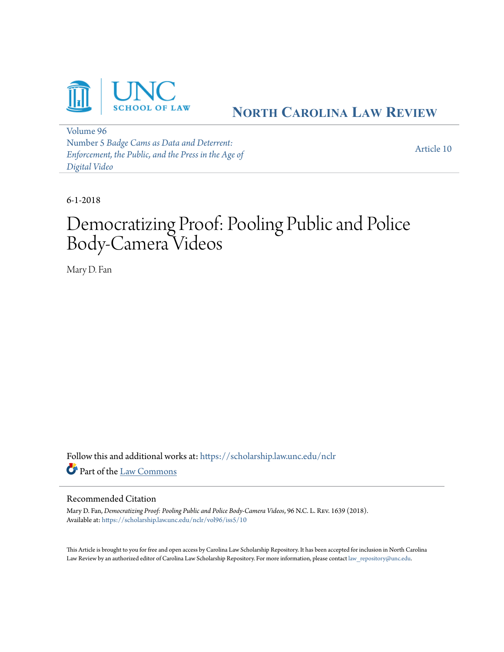

# **NORTH C[AROLINA](https://scholarship.law.unc.edu/nclr?utm_source=scholarship.law.unc.edu%2Fnclr%2Fvol96%2Fiss5%2F10&utm_medium=PDF&utm_campaign=PDFCoverPages) LAW REVIEW**

[Volume 96](https://scholarship.law.unc.edu/nclr/vol96?utm_source=scholarship.law.unc.edu%2Fnclr%2Fvol96%2Fiss5%2F10&utm_medium=PDF&utm_campaign=PDFCoverPages) Number 5 *[Badge Cams as Data and Deterrent:](https://scholarship.law.unc.edu/nclr/vol96/iss5?utm_source=scholarship.law.unc.edu%2Fnclr%2Fvol96%2Fiss5%2F10&utm_medium=PDF&utm_campaign=PDFCoverPages) [Enforcement, the Public, and the Press in the Age of](https://scholarship.law.unc.edu/nclr/vol96/iss5?utm_source=scholarship.law.unc.edu%2Fnclr%2Fvol96%2Fiss5%2F10&utm_medium=PDF&utm_campaign=PDFCoverPages) [Digital Video](https://scholarship.law.unc.edu/nclr/vol96/iss5?utm_source=scholarship.law.unc.edu%2Fnclr%2Fvol96%2Fiss5%2F10&utm_medium=PDF&utm_campaign=PDFCoverPages)*

[Article 10](https://scholarship.law.unc.edu/nclr/vol96/iss5/10?utm_source=scholarship.law.unc.edu%2Fnclr%2Fvol96%2Fiss5%2F10&utm_medium=PDF&utm_campaign=PDFCoverPages)

6-1-2018

# Democratizing Proof: Pooling Public and Police Body-Camera Videos

Mary D. Fan

Follow this and additional works at: [https://scholarship.law.unc.edu/nclr](https://scholarship.law.unc.edu/nclr?utm_source=scholarship.law.unc.edu%2Fnclr%2Fvol96%2Fiss5%2F10&utm_medium=PDF&utm_campaign=PDFCoverPages) Part of the [Law Commons](http://network.bepress.com/hgg/discipline/578?utm_source=scholarship.law.unc.edu%2Fnclr%2Fvol96%2Fiss5%2F10&utm_medium=PDF&utm_campaign=PDFCoverPages)

# Recommended Citation

Mary D. Fan, *Democratizing Proof: Pooling Public and Police Body-Camera Videos*, 96 N.C. L. Rev. 1639 (2018). Available at: [https://scholarship.law.unc.edu/nclr/vol96/iss5/10](https://scholarship.law.unc.edu/nclr/vol96/iss5/10?utm_source=scholarship.law.unc.edu%2Fnclr%2Fvol96%2Fiss5%2F10&utm_medium=PDF&utm_campaign=PDFCoverPages)

This Article is brought to you for free and open access by Carolina Law Scholarship Repository. It has been accepted for inclusion in North Carolina Law Review by an authorized editor of Carolina Law Scholarship Repository. For more information, please contact [law\\_repository@unc.edu](mailto:law_repository@unc.edu).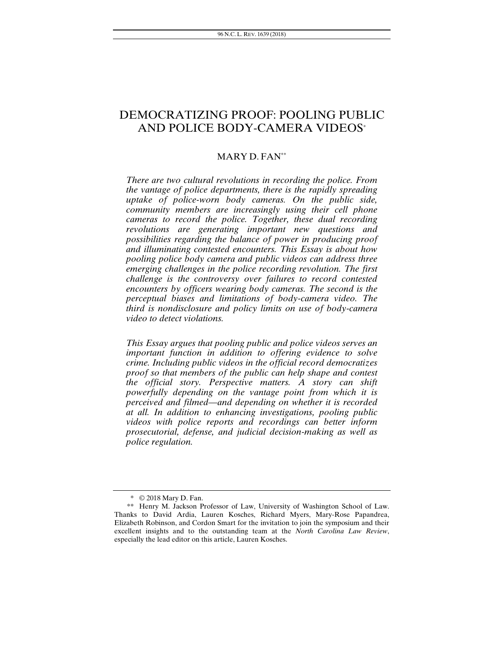# DEMOCRATIZING PROOF: POOLING PUBLIC AND POLICE BODY-CAMERA VIDEOS\*

# MARY D. FAN\*\*

*There are two cultural revolutions in recording the police. From the vantage of police departments, there is the rapidly spreading uptake of police-worn body cameras. On the public side, community members are increasingly using their cell phone cameras to record the police. Together, these dual recording revolutions are generating important new questions and possibilities regarding the balance of power in producing proof and illuminating contested encounters. This Essay is about how pooling police body camera and public videos can address three emerging challenges in the police recording revolution. The first challenge is the controversy over failures to record contested encounters by officers wearing body cameras. The second is the perceptual biases and limitations of body-camera video. The third is nondisclosure and policy limits on use of body-camera video to detect violations.* 

*This Essay argues that pooling public and police videos serves an important function in addition to offering evidence to solve crime. Including public videos in the official record democratizes proof so that members of the public can help shape and contest the official story. Perspective matters. A story can shift powerfully depending on the vantage point from which it is perceived and filmed—and depending on whether it is recorded at all. In addition to enhancing investigations, pooling public videos with police reports and recordings can better inform prosecutorial, defense, and judicial decision-making as well as police regulation.* 

<sup>\* © 2018</sup> Mary D. Fan.

<sup>\*\*</sup> Henry M. Jackson Professor of Law, University of Washington School of Law. Thanks to David Ardia, Lauren Kosches, Richard Myers, Mary-Rose Papandrea, Elizabeth Robinson, and Cordon Smart for the invitation to join the symposium and their excellent insights and to the outstanding team at the *North Carolina Law Review*, especially the lead editor on this article, Lauren Kosches.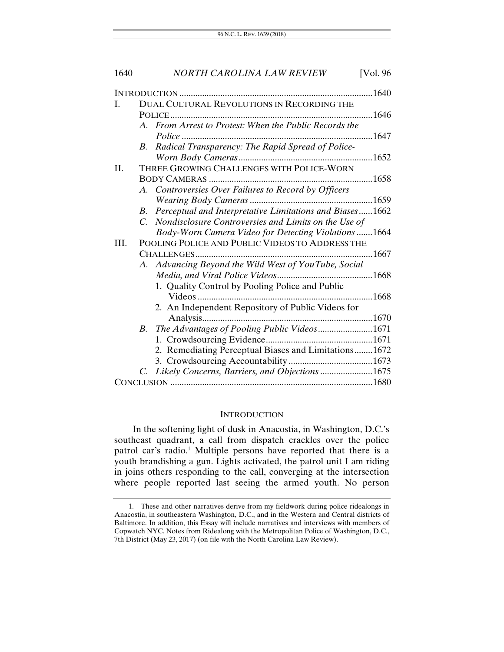| 1640 | <b>NORTH CAROLINA LAW REVIEW</b><br>[Vol. 96]                           |  |
|------|-------------------------------------------------------------------------|--|
|      |                                                                         |  |
| L    | DUAL CULTURAL REVOLUTIONS IN RECORDING THE                              |  |
|      |                                                                         |  |
|      | A. From Arrest to Protest: When the Public Records the                  |  |
|      | Radical Transparency: The Rapid Spread of Police-<br>$B_{\cdot}$        |  |
|      |                                                                         |  |
| II.  | THREE GROWING CHALLENGES WITH POLICE-WORN                               |  |
|      |                                                                         |  |
|      | A. Controversies Over Failures to Record by Officers                    |  |
|      |                                                                         |  |
|      | Perceptual and Interpretative Limitations and Biases1662<br>$B_{\cdot}$ |  |
|      | Nondisclosure Controversies and Limits on the Use of<br>$\overline{C}$  |  |
|      | Body-Worn Camera Video for Detecting Violations 1664                    |  |
| III. | POOLING POLICE AND PUBLIC VIDEOS TO ADDRESS THE                         |  |
|      |                                                                         |  |
|      | A. Advancing Beyond the Wild West of YouTube, Social                    |  |
|      |                                                                         |  |
|      | 1. Quality Control by Pooling Police and Public                         |  |
|      |                                                                         |  |
|      | 2. An Independent Repository of Public Videos for                       |  |
|      |                                                                         |  |
|      | B. The Advantages of Pooling Public Videos1671                          |  |
|      |                                                                         |  |
|      | 2. Remediating Perceptual Biases and Limitations 1672                   |  |
|      |                                                                         |  |
|      | Likely Concerns, Barriers, and Objections 1675<br>C.                    |  |
|      |                                                                         |  |

#### INTRODUCTION

In the softening light of dusk in Anacostia, in Washington, D.C.'s southeast quadrant, a call from dispatch crackles over the police patrol car's radio.<sup>1</sup> Multiple persons have reported that there is a youth brandishing a gun. Lights activated, the patrol unit I am riding in joins others responding to the call, converging at the intersection where people reported last seeing the armed youth. No person

 <sup>1.</sup> These and other narratives derive from my fieldwork during police ridealongs in Anacostia, in southeastern Washington, D.C., and in the Western and Central districts of Baltimore. In addition, this Essay will include narratives and interviews with members of Copwatch NYC. Notes from Ridealong with the Metropolitan Police of Washington, D.C., 7th District (May 23, 2017) (on file with the North Carolina Law Review).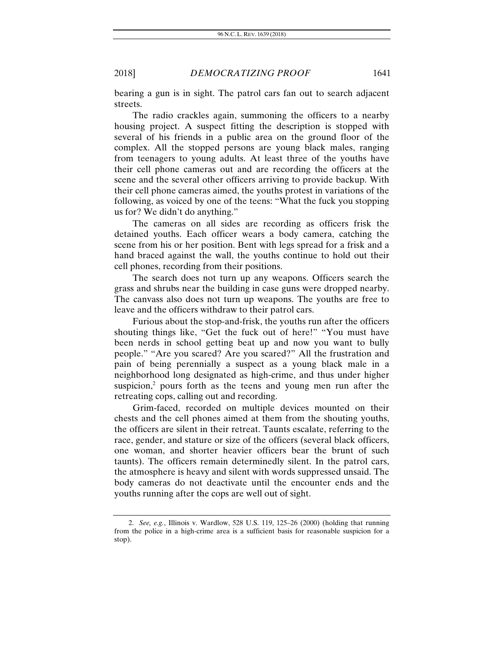bearing a gun is in sight. The patrol cars fan out to search adjacent streets.

The radio crackles again, summoning the officers to a nearby housing project. A suspect fitting the description is stopped with several of his friends in a public area on the ground floor of the complex. All the stopped persons are young black males, ranging from teenagers to young adults. At least three of the youths have their cell phone cameras out and are recording the officers at the scene and the several other officers arriving to provide backup. With their cell phone cameras aimed, the youths protest in variations of the following, as voiced by one of the teens: "What the fuck you stopping us for? We didn't do anything."

The cameras on all sides are recording as officers frisk the detained youths. Each officer wears a body camera, catching the scene from his or her position. Bent with legs spread for a frisk and a hand braced against the wall, the youths continue to hold out their cell phones, recording from their positions.

The search does not turn up any weapons. Officers search the grass and shrubs near the building in case guns were dropped nearby. The canvass also does not turn up weapons. The youths are free to leave and the officers withdraw to their patrol cars.

Furious about the stop-and-frisk, the youths run after the officers shouting things like, "Get the fuck out of here!" "You must have been nerds in school getting beat up and now you want to bully people." "Are you scared? Are you scared?" All the frustration and pain of being perennially a suspect as a young black male in a neighborhood long designated as high-crime, and thus under higher suspicion,<sup>2</sup> pours forth as the teens and young men run after the retreating cops, calling out and recording.

Grim-faced, recorded on multiple devices mounted on their chests and the cell phones aimed at them from the shouting youths, the officers are silent in their retreat. Taunts escalate, referring to the race, gender, and stature or size of the officers (several black officers, one woman, and shorter heavier officers bear the brunt of such taunts). The officers remain determinedly silent. In the patrol cars, the atmosphere is heavy and silent with words suppressed unsaid. The body cameras do not deactivate until the encounter ends and the youths running after the cops are well out of sight.

<sup>2.</sup> *See, e.g.*, Illinois v. Wardlow, 528 U.S. 119, 125–26 (2000) (holding that running from the police in a high-crime area is a sufficient basis for reasonable suspicion for a stop).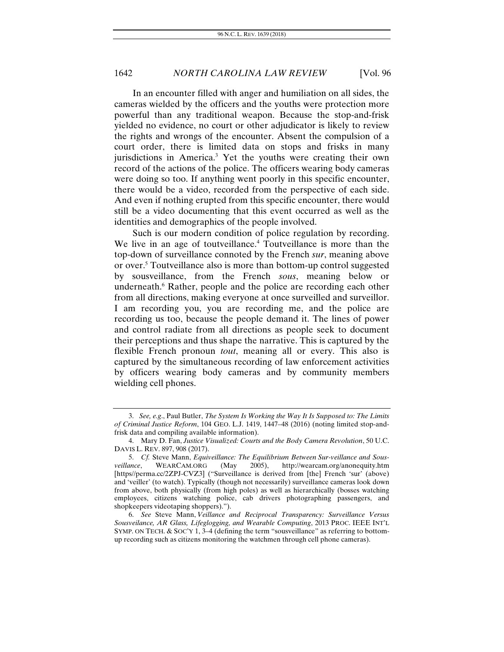In an encounter filled with anger and humiliation on all sides, the cameras wielded by the officers and the youths were protection more powerful than any traditional weapon. Because the stop-and-frisk yielded no evidence, no court or other adjudicator is likely to review the rights and wrongs of the encounter. Absent the compulsion of a court order, there is limited data on stops and frisks in many jurisdictions in America.<sup>3</sup> Yet the youths were creating their own record of the actions of the police. The officers wearing body cameras were doing so too. If anything went poorly in this specific encounter, there would be a video, recorded from the perspective of each side. And even if nothing erupted from this specific encounter, there would still be a video documenting that this event occurred as well as the identities and demographics of the people involved.

Such is our modern condition of police regulation by recording. We live in an age of toutveillance.<sup>4</sup> Toutveillance is more than the top-down of surveillance connoted by the French *sur*, meaning above or over.<sup>5</sup> Toutveillance also is more than bottom-up control suggested by sousveillance, from the French *sous*, meaning below or underneath.<sup>6</sup> Rather, people and the police are recording each other from all directions, making everyone at once surveilled and surveillor. I am recording you, you are recording me, and the police are recording us too, because the people demand it. The lines of power and control radiate from all directions as people seek to document their perceptions and thus shape the narrative. This is captured by the flexible French pronoun *tout*, meaning all or every. This also is captured by the simultaneous recording of law enforcement activities by officers wearing body cameras and by community members wielding cell phones.

<sup>3.</sup> *See, e.g*., Paul Butler, *The System Is Working the Way It Is Supposed to: The Limits of Criminal Justice Reform*, 104 GEO. L.J. 1419, 1447–48 (2016) (noting limited stop-andfrisk data and compiling available information).

 <sup>4.</sup> Mary D. Fan, *Justice Visualized: Courts and the Body Camera Revolution*, 50 U.C. DAVIS L. REV. 897, 908 (2017).

<sup>5.</sup> *Cf.* Steve Mann, *Equiveillance: The Equilibrium Between Sur-veillance and Sousveillance*, WEARCAM.ORG (May 2005), http://wearcam.org/anonequity.htm [https//perma.cc/2ZPJ-CVZ3] ("Surveillance is derived from [the] French 'sur' (above) and 'veiller' (to watch). Typically (though not necessarily) surveillance cameras look down from above, both physically (from high poles) as well as hierarchically (bosses watching employees, citizens watching police, cab drivers photographing passengers, and shopkeepers videotaping shoppers).").

 <sup>6.</sup> *See* Steve Mann, *Veillance and Reciprocal Transparency: Surveillance Versus Sousveilance, AR Glass, Lifeglogging, and Wearable Computing*, 2013 PROC. IEEE INT'L SYMP. ON TECH.  $&$  SOC'Y 1, 3-4 (defining the term "sousveillance" as referring to bottomup recording such as citizens monitoring the watchmen through cell phone cameras).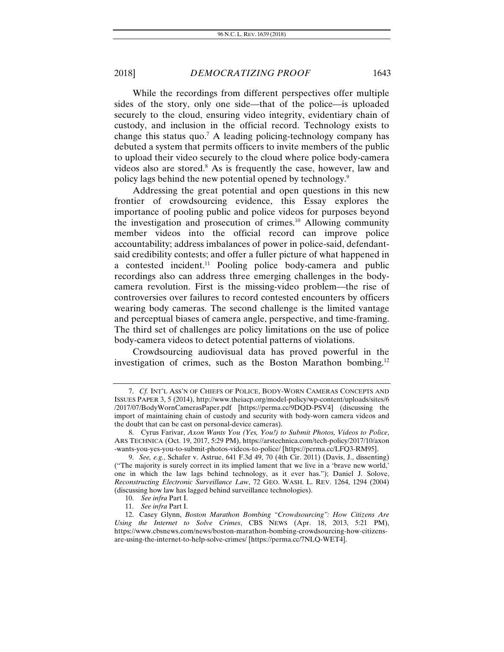While the recordings from different perspectives offer multiple sides of the story, only one side—that of the police—is uploaded securely to the cloud, ensuring video integrity, evidentiary chain of custody, and inclusion in the official record. Technology exists to change this status quo.<sup>7</sup> A leading policing-technology company has debuted a system that permits officers to invite members of the public to upload their video securely to the cloud where police body-camera videos also are stored.<sup>8</sup> As is frequently the case, however, law and policy lags behind the new potential opened by technology.9

Addressing the great potential and open questions in this new frontier of crowdsourcing evidence, this Essay explores the importance of pooling public and police videos for purposes beyond the investigation and prosecution of crimes.10 Allowing community member videos into the official record can improve police accountability; address imbalances of power in police-said, defendantsaid credibility contests; and offer a fuller picture of what happened in a contested incident.<sup>11</sup> Pooling police body-camera and public recordings also can address three emerging challenges in the bodycamera revolution. First is the missing-video problem—the rise of controversies over failures to record contested encounters by officers wearing body cameras. The second challenge is the limited vantage and perceptual biases of camera angle, perspective, and time-framing. The third set of challenges are policy limitations on the use of police body-camera videos to detect potential patterns of violations.

Crowdsourcing audiovisual data has proved powerful in the investigation of crimes, such as the Boston Marathon bombing.12

<sup>7.</sup> *Cf.* INT'L ASS'N OF CHIEFS OF POLICE, BODY-WORN CAMERAS CONCEPTS AND ISSUES PAPER 3, 5 (2014), http://www.theiacp.org/model-policy/wp-content/uploads/sites/6 /2017/07/BodyWornCamerasPaper.pdf [https://perma.cc/9DQD-PSV4] (discussing the import of maintaining chain of custody and security with body-worn camera videos and the doubt that can be cast on personal-device cameras).

 <sup>8.</sup> Cyrus Farivar, *Axon Wants You (Yes, You!) to Submit Photos, Videos to Police*, ARS TECHNICA (Oct. 19, 2017, 5:29 PM), https://arstechnica.com/tech-policy/2017/10/axon -wants-you-yes-you-to-submit-photos-videos-to-police/ [https://perma.cc/LFQ3-RM95].

<sup>9.</sup> *See, e.g.*, Schafer v. Astrue, 641 F.3d 49, 70 (4th Cir. 2011) (Davis, J., dissenting) ("The majority is surely correct in its implied lament that we live in a 'brave new world,' one in which the law lags behind technology, as it ever has."); Daniel J. Solove, *Reconstructing Electronic Surveillance Law*, 72 GEO. WASH. L. REV. 1264, 1294 (2004) (discussing how law has lagged behind surveillance technologies).

 <sup>10.</sup> *See infra* Part I.

 <sup>11.</sup> *See infra* Part I.

 <sup>12.</sup> Casey Glynn, *Boston Marathon Bombing "Crowdsourcing": How Citizens Are Using the Internet to Solve Crimes*, CBS NEWS (Apr. 18, 2013, 5:21 PM), https://www.cbsnews.com/news/boston-marathon-bombing-crowdsourcing-how-citizensare-using-the-internet-to-help-solve-crimes/ [https://perma.cc/7NLQ-WET4].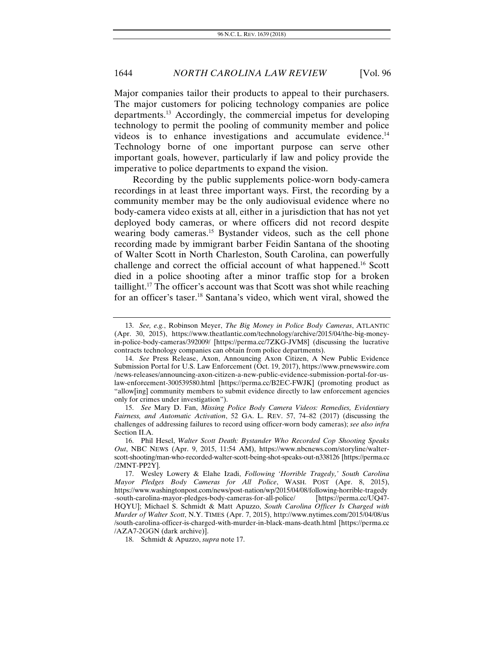Major companies tailor their products to appeal to their purchasers. The major customers for policing technology companies are police departments.13 Accordingly, the commercial impetus for developing technology to permit the pooling of community member and police videos is to enhance investigations and accumulate evidence.<sup>14</sup> Technology borne of one important purpose can serve other important goals, however, particularly if law and policy provide the imperative to police departments to expand the vision.

Recording by the public supplements police-worn body-camera recordings in at least three important ways. First, the recording by a community member may be the only audiovisual evidence where no body-camera video exists at all, either in a jurisdiction that has not yet deployed body cameras, or where officers did not record despite wearing body cameras.<sup>15</sup> Bystander videos, such as the cell phone recording made by immigrant barber Feidin Santana of the shooting of Walter Scott in North Charleston, South Carolina, can powerfully challenge and correct the official account of what happened.16 Scott died in a police shooting after a minor traffic stop for a broken taillight.17 The officer's account was that Scott was shot while reaching for an officer's taser.18 Santana's video, which went viral, showed the

18. Schmidt & Apuzzo, *supra* note 17.

<sup>13.</sup> *See, e.g.*, Robinson Meyer, *The Big Money in Police Body Cameras*, ATLANTIC (Apr. 30, 2015), https://www.theatlantic.com/technology/archive/2015/04/the-big-moneyin-police-body-cameras/392009/ [https://perma.cc/7ZKG-JVM8] (discussing the lucrative contracts technology companies can obtain from police departments).

<sup>14.</sup> *See* Press Release, Axon, Announcing Axon Citizen, A New Public Evidence Submission Portal for U.S. Law Enforcement (Oct. 19, 2017), https://www.prnewswire.com /news-releases/announcing-axon-citizen-a-new-public-evidence-submission-portal-for-uslaw-enforcement-300539580.html [https://perma.cc/B2EC-FWJK] (promoting product as "allow[ing] community members to submit evidence directly to law enforcement agencies only for crimes under investigation").

 <sup>15.</sup> *See* Mary D. Fan, *Missing Police Body Camera Videos: Remedies, Evidentiary Fairness, and Automatic Activation*, 52 GA. L. REV. 57, 74–82 (2017) (discussing the challenges of addressing failures to record using officer-worn body cameras); *see also infra* Section II.A.

 <sup>16.</sup> Phil Hesel, *Walter Scott Death: Bystander Who Recorded Cop Shooting Speaks Out*, NBC NEWS (Apr. 9, 2015, 11:54 AM), https://www.nbcnews.com/storyline/walterscott-shooting/man-who-recorded-walter-scott-being-shot-speaks-out-n338126 [https://perma.cc /2MNT-PP2Y].

 <sup>17.</sup> Wesley Lowery & Elahe Izadi, *Following 'Horrible Tragedy,' South Carolina Mayor Pledges Body Cameras for All Police*, WASH. POST (Apr. 8, 2015), https://www.washingtonpost.com/news/post-nation/wp/2015/04/08/following-horrible-tragedy -south-carolina-mayor-pledges-body-cameras-for-all-police/ [https://perma.cc/UQ47- HQYU]; Michael S. Schmidt & Matt Apuzzo, *South Carolina Officer Is Charged with Murder of Walter Scott*, N.Y. TIMES (Apr. 7, 2015), http://www.nytimes.com/2015/04/08/us /south-carolina-officer-is-charged-with-murder-in-black-mans-death.html [https://perma.cc /AZA7-2GGN (dark archive)].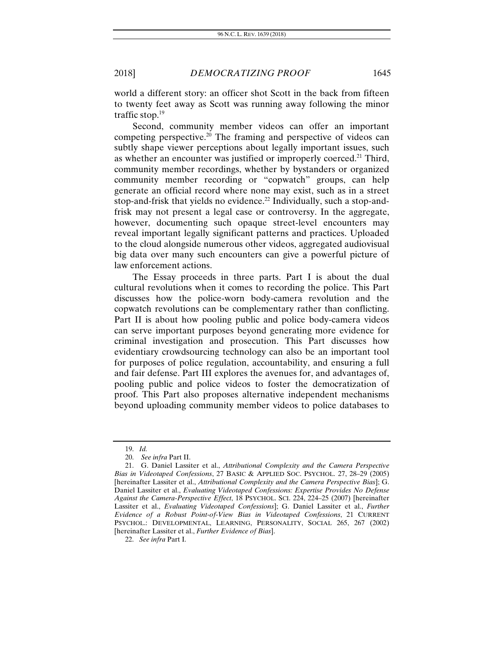world a different story: an officer shot Scott in the back from fifteen to twenty feet away as Scott was running away following the minor traffic stop.19

Second, community member videos can offer an important competing perspective.<sup>20</sup> The framing and perspective of videos can subtly shape viewer perceptions about legally important issues, such as whether an encounter was justified or improperly coerced.<sup>21</sup> Third, community member recordings, whether by bystanders or organized community member recording or "copwatch" groups, can help generate an official record where none may exist, such as in a street stop-and-frisk that yields no evidence.<sup>22</sup> Individually, such a stop-andfrisk may not present a legal case or controversy. In the aggregate, however, documenting such opaque street-level encounters may reveal important legally significant patterns and practices. Uploaded to the cloud alongside numerous other videos, aggregated audiovisual big data over many such encounters can give a powerful picture of law enforcement actions.

The Essay proceeds in three parts. Part I is about the dual cultural revolutions when it comes to recording the police. This Part discusses how the police-worn body-camera revolution and the copwatch revolutions can be complementary rather than conflicting. Part II is about how pooling public and police body-camera videos can serve important purposes beyond generating more evidence for criminal investigation and prosecution. This Part discusses how evidentiary crowdsourcing technology can also be an important tool for purposes of police regulation, accountability, and ensuring a full and fair defense. Part III explores the avenues for, and advantages of, pooling public and police videos to foster the democratization of proof. This Part also proposes alternative independent mechanisms beyond uploading community member videos to police databases to

<sup>19.</sup> *Id.*

 <sup>20.</sup> *See infra* Part II.

 <sup>21.</sup> G. Daniel Lassiter et al., *Attributional Complexity and the Camera Perspective Bias in Videotaped Confessions*, 27 BASIC & APPLIED SOC. PSYCHOL. 27, 28–29 (2005) [hereinafter Lassiter et al., *Attributional Complexity and the Camera Perspective Bias*]; G. Daniel Lassiter et al., *Evaluating Videotaped Confessions: Expertise Provides No Defense Against the Camera-Perspective Effect*, 18 PSYCHOL. SCI. 224, 224–25 (2007) [hereinafter Lassiter et al., *Evaluating Videotaped Confessions*]; G. Daniel Lassiter et al., *Further Evidence of a Robust Point-of-View Bias in Videotaped Confessions*, 21 CURRENT PSYCHOL.: DEVELOPMENTAL, LEARNING, PERSONALITY, SOCIAL 265, 267 (2002) [hereinafter Lassiter et al., *Further Evidence of Bias*].

<sup>22.</sup> *See infra* Part I.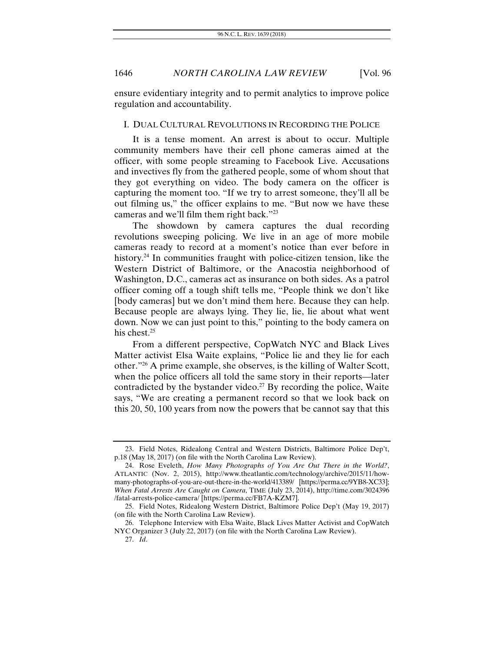ensure evidentiary integrity and to permit analytics to improve police regulation and accountability.

#### I. DUAL CULTURAL REVOLUTIONS IN RECORDING THE POLICE

It is a tense moment. An arrest is about to occur. Multiple community members have their cell phone cameras aimed at the officer, with some people streaming to Facebook Live. Accusations and invectives fly from the gathered people, some of whom shout that they got everything on video. The body camera on the officer is capturing the moment too. "If we try to arrest someone, they'll all be out filming us," the officer explains to me. "But now we have these cameras and we'll film them right back."23

The showdown by camera captures the dual recording revolutions sweeping policing. We live in an age of more mobile cameras ready to record at a moment's notice than ever before in history.<sup>24</sup> In communities fraught with police-citizen tension, like the Western District of Baltimore, or the Anacostia neighborhood of Washington, D.C., cameras act as insurance on both sides. As a patrol officer coming off a tough shift tells me, "People think we don't like [body cameras] but we don't mind them here. Because they can help. Because people are always lying. They lie, lie, lie about what went down. Now we can just point to this," pointing to the body camera on his chest.<sup>25</sup>

From a different perspective, CopWatch NYC and Black Lives Matter activist Elsa Waite explains, "Police lie and they lie for each other."26 A prime example, she observes, is the killing of Walter Scott, when the police officers all told the same story in their reports—later contradicted by the bystander video.<sup>27</sup> By recording the police, Waite says, "We are creating a permanent record so that we look back on this 20, 50, 100 years from now the powers that be cannot say that this

 <sup>23.</sup> Field Notes, Ridealong Central and Western Districts, Baltimore Police Dep't, p.18 (May 18, 2017) (on file with the North Carolina Law Review).

 <sup>24.</sup> Rose Eveleth, *How Many Photographs of You Are Out There in the World?*, ATLANTIC (Nov. 2, 2015), http://www.theatlantic.com/technology/archive/2015/11/howmany-photographs-of-you-are-out-there-in-the-world/413389/ [https://perma.cc/9YB8-XC33]; *When Fatal Arrests Are Caught on Camera*, TIME (July 23, 2014), http://time.com/3024396 /fatal-arrests-police-camera/ [https://perma.cc/FB7A-KZM7].

 <sup>25.</sup> Field Notes, Ridealong Western District, Baltimore Police Dep't (May 19, 2017) (on file with the North Carolina Law Review).

 <sup>26.</sup> Telephone Interview with Elsa Waite, Black Lives Matter Activist and CopWatch NYC Organizer 3 (July 22, 2017) (on file with the North Carolina Law Review).

<sup>27.</sup> *Id*.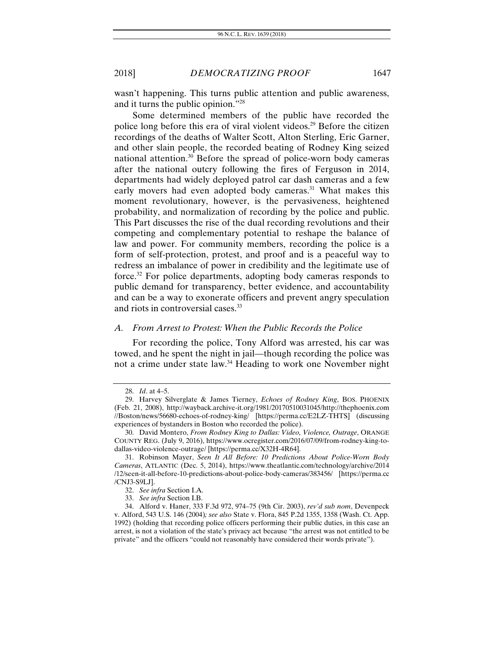wasn't happening. This turns public attention and public awareness, and it turns the public opinion."28

Some determined members of the public have recorded the police long before this era of viral violent videos.29 Before the citizen recordings of the deaths of Walter Scott, Alton Sterling, Eric Garner, and other slain people, the recorded beating of Rodney King seized national attention.30 Before the spread of police-worn body cameras after the national outcry following the fires of Ferguson in 2014, departments had widely deployed patrol car dash cameras and a few early movers had even adopted body cameras.<sup>31</sup> What makes this moment revolutionary, however, is the pervasiveness, heightened probability, and normalization of recording by the police and public. This Part discusses the rise of the dual recording revolutions and their competing and complementary potential to reshape the balance of law and power. For community members, recording the police is a form of self-protection, protest, and proof and is a peaceful way to redress an imbalance of power in credibility and the legitimate use of force.32 For police departments, adopting body cameras responds to public demand for transparency, better evidence, and accountability and can be a way to exonerate officers and prevent angry speculation and riots in controversial cases.33

#### *A. From Arrest to Protest: When the Public Records the Police*

For recording the police, Tony Alford was arrested, his car was towed, and he spent the night in jail—though recording the police was not a crime under state law.<sup>34</sup> Heading to work one November night

<sup>28.</sup> *Id*. at 4–5.

 <sup>29.</sup> Harvey Silverglate & James Tierney, *Echoes of Rodney King*, BOS. PHOENIX (Feb. 21, 2008), http://wayback.archive-it.org/1981/20170510031045/http://thephoenix.com //Boston/news/56680-echoes-of-rodney-king/ [https://perma.cc/E2LZ-THTS] (discussing experiences of bystanders in Boston who recorded the police).

 <sup>30.</sup> David Montero, *From Rodney King to Dallas: Video, Violence, Outrage*, ORANGE COUNTY REG. (July 9, 2016), https://www.ocregister.com/2016/07/09/from-rodney-king-todallas-video-violence-outrage/ [https://perma.cc/X32H-4R64].

 <sup>31.</sup> Robinson Mayer, *Seen It All Before: 10 Predictions About Police-Worn Body Cameras*, ATLANTIC (Dec. 5, 2014), https://www.theatlantic.com/technology/archive/2014 /12/seen-it-all-before-10-predictions-about-police-body-cameras/383456/ [https://perma.cc /CNJ3-S9LJ].

<sup>32.</sup> *See infra* Section I.A.

<sup>33.</sup> *See infra* Section I.B.

 <sup>34.</sup> Alford v. Haner, 333 F.3d 972, 974–75 (9th Cir. 2003), *rev'd sub nom*, Devenpeck v. Alford, 543 U.S. 146 (2004)*; see also* State v. Flora, 845 P.2d 1355, 1358 (Wash. Ct. App. 1992) (holding that recording police officers performing their public duties, in this case an arrest, is not a violation of the state's privacy act because "the arrest was not entitled to be private" and the officers "could not reasonably have considered their words private").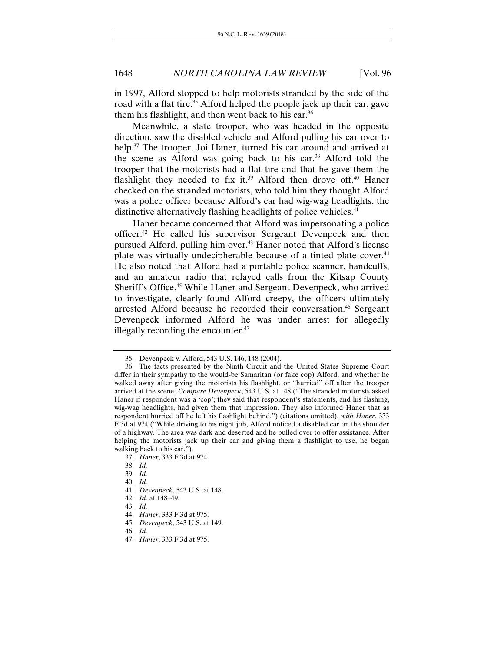in 1997, Alford stopped to help motorists stranded by the side of the road with a flat tire.<sup>35</sup> Alford helped the people jack up their car, gave them his flashlight, and then went back to his car.<sup>36</sup>

Meanwhile, a state trooper, who was headed in the opposite direction, saw the disabled vehicle and Alford pulling his car over to help.<sup>37</sup> The trooper, Joi Haner, turned his car around and arrived at the scene as Alford was going back to his car. $38$  Alford told the trooper that the motorists had a flat tire and that he gave them the flashlight they needed to fix it.<sup>39</sup> Alford then drove off.<sup>40</sup> Haner checked on the stranded motorists, who told him they thought Alford was a police officer because Alford's car had wig-wag headlights, the distinctive alternatively flashing headlights of police vehicles.<sup>41</sup>

Haner became concerned that Alford was impersonating a police officer.42 He called his supervisor Sergeant Devenpeck and then pursued Alford, pulling him over.<sup>43</sup> Haner noted that Alford's license plate was virtually undecipherable because of a tinted plate cover.<sup>44</sup> He also noted that Alford had a portable police scanner, handcuffs, and an amateur radio that relayed calls from the Kitsap County Sheriff's Office.<sup>45</sup> While Haner and Sergeant Devenpeck, who arrived to investigate, clearly found Alford creepy, the officers ultimately arrested Alford because he recorded their conversation.<sup>46</sup> Sergeant Devenpeck informed Alford he was under arrest for allegedly illegally recording the encounter.<sup>47</sup>

 <sup>35.</sup> Devenpeck v. Alford, 543 U.S. 146, 148 (2004).

 <sup>36.</sup> The facts presented by the Ninth Circuit and the United States Supreme Court differ in their sympathy to the would-be Samaritan (or fake cop) Alford, and whether he walked away after giving the motorists his flashlight, or "hurried" off after the trooper arrived at the scene. *Compare Devenpeck*, 543 U.S. at 148 ("The stranded motorists asked Haner if respondent was a 'cop'; they said that respondent's statements, and his flashing, wig-wag headlights, had given them that impression. They also informed Haner that as respondent hurried off he left his flashlight behind.") (citations omitted), *with Haner*, 333 F.3d at 974 ("While driving to his night job, Alford noticed a disabled car on the shoulder of a highway. The area was dark and deserted and he pulled over to offer assistance. After helping the motorists jack up their car and giving them a flashlight to use, he began walking back to his car.").

<sup>37.</sup> *Haner*, 333 F.3d at 974.

<sup>38.</sup> *Id.*

<sup>39.</sup> *Id.*

<sup>40.</sup> *Id.*

<sup>41.</sup> *Devenpeck*, 543 U.S. at 148.

<sup>42.</sup> *Id.* at 148–49.

<sup>43.</sup> *Id.*

<sup>44.</sup> *Haner*, 333 F.3d at 975.

<sup>45.</sup> *Devenpeck*, 543 U.S. at 149.

<sup>46.</sup> *Id.*

<sup>47.</sup> *Haner*, 333 F.3d at 975.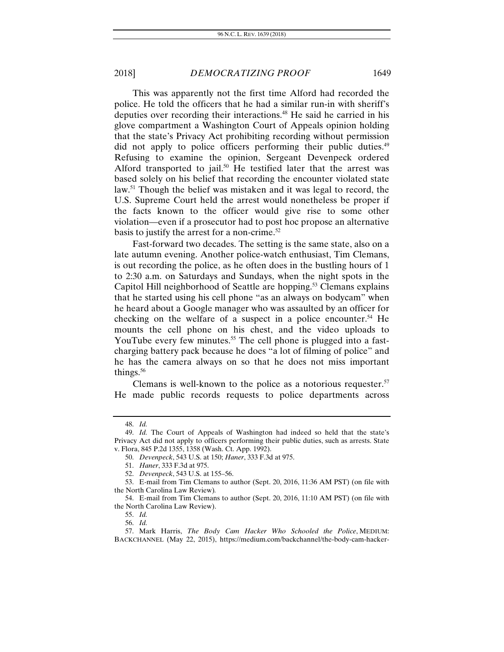This was apparently not the first time Alford had recorded the police. He told the officers that he had a similar run-in with sheriff's deputies over recording their interactions.<sup>48</sup> He said he carried in his glove compartment a Washington Court of Appeals opinion holding that the state's Privacy Act prohibiting recording without permission did not apply to police officers performing their public duties.<sup>49</sup> Refusing to examine the opinion, Sergeant Devenpeck ordered Alford transported to jail.<sup>50</sup> He testified later that the arrest was based solely on his belief that recording the encounter violated state law.<sup>51</sup> Though the belief was mistaken and it was legal to record, the U.S. Supreme Court held the arrest would nonetheless be proper if the facts known to the officer would give rise to some other violation—even if a prosecutor had to post hoc propose an alternative basis to justify the arrest for a non-crime. $52$ 

Fast-forward two decades. The setting is the same state, also on a late autumn evening. Another police-watch enthusiast, Tim Clemans, is out recording the police, as he often does in the bustling hours of 1 to 2:30 a.m. on Saturdays and Sundays, when the night spots in the Capitol Hill neighborhood of Seattle are hopping.<sup>53</sup> Clemans explains that he started using his cell phone "as an always on bodycam" when he heard about a Google manager who was assaulted by an officer for checking on the welfare of a suspect in a police encounter.<sup>54</sup> He mounts the cell phone on his chest, and the video uploads to YouTube every few minutes.<sup>55</sup> The cell phone is plugged into a fastcharging battery pack because he does "a lot of filming of police" and he has the camera always on so that he does not miss important things.<sup>56</sup>

Clemans is well-known to the police as a notorious requester. $57$ He made public records requests to police departments across

<sup>48.</sup> *Id.*

<sup>49.</sup> *Id.* The Court of Appeals of Washington had indeed so held that the state's Privacy Act did not apply to officers performing their public duties, such as arrests. State v. Flora, 845 P.2d 1355, 1358 (Wash. Ct. App. 1992).

<sup>50.</sup> *Devenpeck*, 543 U.S. at 150; *Haner*, 333 F.3d at 975.

<sup>51.</sup> *Haner*, 333 F.3d at 975.

<sup>52.</sup> *Devenpeck*, 543 U.S. at 155–56.

 <sup>53.</sup> E-mail from Tim Clemans to author (Sept. 20, 2016, 11:36 AM PST) (on file with the North Carolina Law Review)*.*

 <sup>54.</sup> E-mail from Tim Clemans to author (Sept. 20, 2016, 11:10 AM PST) (on file with the North Carolina Law Review).

<sup>55.</sup> *Id.*

<sup>56.</sup> *Id.*

 <sup>57.</sup> Mark Harris, *The Body Cam Hacker Who Schooled the Police*, MEDIUM: BACKCHANNEL (May 22, 2015), https://medium.com/backchannel/the-body-cam-hacker-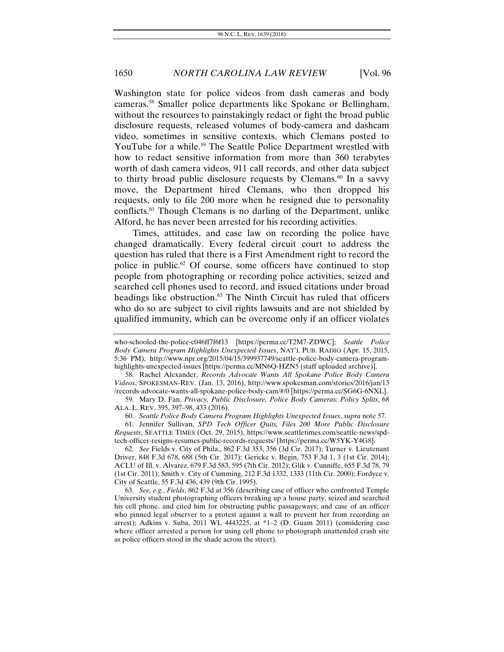Washington state for police videos from dash cameras and body cameras.58 Smaller police departments like Spokane or Bellingham, without the resources to painstakingly redact or fight the broad public disclosure requests, released volumes of body-camera and dashcam video, sometimes in sensitive contexts, which Clemans posted to YouTube for a while.<sup>59</sup> The Seattle Police Department wrestled with how to redact sensitive information from more than 360 terabytes worth of dash camera videos, 911 call records, and other data subject to thirty broad public disclosure requests by Clemans.<sup>60</sup> In a savvy move, the Department hired Clemans, who then dropped his requests, only to file 200 more when he resigned due to personality conflicts.61 Though Clemans is no darling of the Department, unlike Alford, he has never been arrested for his recording activities.

Times, attitudes, and case law on recording the police have changed dramatically. Every federal circuit court to address the question has ruled that there is a First Amendment right to record the police in public.62 Of course, some officers have continued to stop people from photographing or recording police activities, seized and searched cell phones used to record, and issued citations under broad headings like obstruction.<sup>63</sup> The Ninth Circuit has ruled that officers who do so are subject to civil rights lawsuits and are not shielded by qualified immunity, which can be overcome only if an officer violates

 58. Rachel Alexander, *Records Advocate Wants All Spokane Police Body Camera Videos*, SPOKESMAN-REV. (Jan. 13, 2016), http://www.spokesman.com/stories/2016/jan/13 /records-advocate-wants-all-spokane-police-body-cam/#/0 [https://perma.cc/SG6G-6NXL].

 59. Mary D. Fan, *Privacy, Public Disclosure, Police Body Cameras: Policy Splits*, 68 ALA. L. REV. 395, 397–98, 433 (2016).

60. *Seattle Police Body Camera Program Highlights Unexpected Issues*, *supra* note 57.

 61. Jennifer Sullivan, *SPD Tech Officer Quits, Files 200 More Public Disclosure Requests*, SEATTLE TIMES (Oct. 29, 2015), https://www.seattletimes.com/seattle-news/spdtech-officer-resigns-resumes-public-records-requests/ [https://perma.cc/W5YK-Y4G8].

62. *See* Fields v. City of Phila., 862 F.3d 353, 356 (3d Cir. 2017); Turner v. Lieutenant Driver, 848 F.3d 678, 688 (5th Cir. 2017); Gericke v. Begin, 753 F.3d 1, 3 (1st Cir. 2014); ACLU of Ill. v. Alvarez, 679 F.3d 583, 595 (7th Cir. 2012); Glik v. Cunniffe, 655 F.3d 78, 79 (1st Cir. 2011); Smith v. City of Cumming, 212 F.3d 1332, 1333 (11th Cir. 2000); Fordyce v. City of Seattle, 55 F.3d 436, 439 (9th Cir. 1995).

63. *See, e.g.*, *Fields*, 862 F.3d at 356 (describing case of officer who confronted Temple University student photographing officers breaking up a house party, seized and searched his cell phone, and cited him for obstructing public passageways; and case of an officer who pinned legal observer to a protest against a wall to prevent her from recording an arrest); Adkins v. Suba, 2011 WL 4443225, at \*1–2 (D. Guam 2011) (considering case where officer arrested a person for using cell phone to photograph unattended crash site as police officers stood in the shade across the street).

who-schooled-the-police-c046ff7f6f13 [https://perma.cc/T2M7-ZDWC]; *Seattle Police Body Camera Program Highlights Unexpected Issues*, NAT'L PUB. RADIO (Apr. 15, 2015, 5:36 PM), http://www.npr.org/2015/04/15/399937749/seattle-police-body-camera-programhighlights-unexpected-issues [https://perma.cc/MN6Q-HZN5 (staff uploaded archive)].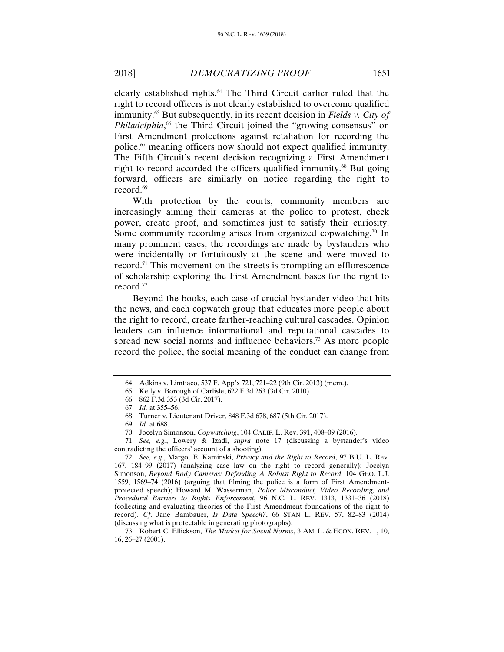clearly established rights.64 The Third Circuit earlier ruled that the right to record officers is not clearly established to overcome qualified immunity.65 But subsequently, in its recent decision in *Fields v. City of*  Philadelphia,<sup>66</sup> the Third Circuit joined the "growing consensus" on First Amendment protections against retaliation for recording the police,67 meaning officers now should not expect qualified immunity. The Fifth Circuit's recent decision recognizing a First Amendment right to record accorded the officers qualified immunity.<sup>68</sup> But going forward, officers are similarly on notice regarding the right to record.<sup>69</sup>

With protection by the courts, community members are increasingly aiming their cameras at the police to protest, check power, create proof, and sometimes just to satisfy their curiosity. Some community recording arises from organized copwatching.<sup>70</sup> In many prominent cases, the recordings are made by bystanders who were incidentally or fortuitously at the scene and were moved to record.71 This movement on the streets is prompting an efflorescence of scholarship exploring the First Amendment bases for the right to record.72

Beyond the books, each case of crucial bystander video that hits the news, and each copwatch group that educates more people about the right to record, create farther-reaching cultural cascades. Opinion leaders can influence informational and reputational cascades to spread new social norms and influence behaviors.<sup>73</sup> As more people record the police, the social meaning of the conduct can change from

 <sup>64.</sup> Adkins v. Limtiaco, 537 F. App'x 721, 721–22 (9th Cir. 2013) (mem.).

 <sup>65.</sup> Kelly v. Borough of Carlisle, 622 F.3d 263 (3d Cir. 2010).

 <sup>66. 862</sup> F.3d 353 (3d Cir. 2017).

<sup>67.</sup> *Id.* at 355–56.

 <sup>68.</sup> Turner v. Lieutenant Driver, 848 F.3d 678, 687 (5th Cir. 2017).

<sup>69.</sup> *Id.* at 688.

 <sup>70.</sup> Jocelyn Simonson, *Copwatching*, 104 CALIF. L. Rev. 391, 408–09 (2016).

<sup>71.</sup> *See, e.g.*, Lowery & Izadi, *supra* note 17 (discussing a bystander's video contradicting the officers' account of a shooting).

<sup>72.</sup> *See, e.g.*, Margot E. Kaminski, *Privacy and the Right to Record*, 97 B.U. L. Rev. 167, 184–99 (2017) (analyzing case law on the right to record generally); Jocelyn Simonson, *Beyond Body Cameras: Defending A Robust Right to Record*, 104 GEO. L.J. 1559, 1569–74 (2016) (arguing that filming the police is a form of First Amendmentprotected speech); Howard M. Wasserman, *Police Misconduct, Video Recording, and Procedural Barriers to Rights Enforcement*, 96 N.C. L. REV. 1313, 1331–36 (2018) (collecting and evaluating theories of the First Amendment foundations of the right to record). *Cf*. Jane Bambauer, *Is Data Speech?*, 66 STAN L. REV. 57, 82–83 (2014) (discussing what is protectable in generating photographs).

 <sup>73.</sup> Robert C. Ellickson, *The Market for Social Norms*, 3 AM. L. & ECON. REV. 1, 10, 16, 26–27 (2001).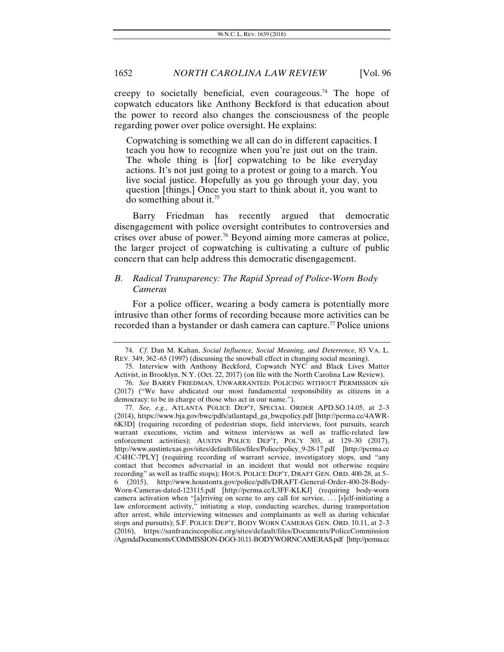creepy to societally beneficial, even courageous.<sup>74</sup> The hope of copwatch educators like Anthony Beckford is that education about the power to record also changes the consciousness of the people regarding power over police oversight. He explains:

Copwatching is something we all can do in different capacities. I teach you how to recognize when you're just out on the train. The whole thing is [for] copwatching to be like everyday actions. It's not just going to a protest or going to a march. You live social justice. Hopefully as you go through your day, you question [things.] Once you start to think about it, you want to do something about it.<sup>75</sup>

Barry Friedman has recently argued that democratic disengagement with police oversight contributes to controversies and crises over abuse of power.76 Beyond aiming more cameras at police, the larger project of copwatching is cultivating a culture of public concern that can help address this democratic disengagement.

# *B. Radical Transparency: The Rapid Spread of Police-Worn Body Cameras*

For a police officer, wearing a body camera is potentially more intrusive than other forms of recording because more activities can be recorded than a bystander or dash camera can capture.<sup>77</sup> Police unions

<sup>74.</sup> *Cf*. Dan M. Kahan, *Social Influence, Social Meaning, and Deterrence*, 83 VA. L. REV. 349, 362–65 (1997) (discussing the snowball effect in changing social meaning).

 <sup>75.</sup> Interview with Anthony Beckford, Copwatch NYC and Black Lives Matter Activist, in Brooklyn, N.Y. (Oct. 22, 2017) (on file with the North Carolina Law Review).

<sup>76.</sup> *See* BARRY FRIEDMAN, UNWARRANTED: POLICING WITHOUT PERMISSION xiv (2017) ("We have abdicated our most fundamental responsibility as citizens in a democracy: to be in charge of those who act in our name.").

 <sup>77.</sup> *See, e.g.*, ATLANTA POLICE DEP'T, SPECIAL ORDER APD.SO.14.05, at 2–3 (2014), https://www.bja.gov/bwc/pdfs/atlantapd\_ga\_bwcpolicy.pdf [http://perma.cc/4AWR-6K3D] (requiring recording of pedestrian stops, field interviews, foot pursuits, search warrant executions, victim and witness interviews as well as traffic-related law enforcement activities); AUSTIN POLICE DEP'T, POL'Y 303, at 129–30 (2017), http://www.austintexas.gov/sites/default/files/files/Police/policy\_9-28-17.pdf [http://perma.cc /C4HC-7PLY] (requiring recording of warrant service, investigatory stops, and "any contact that becomes adversarial in an incident that would not otherwise require recording" as well as traffic stops); HOUS. POLICE DEP'T, DRAFT GEN. ORD. 400-28, at 5– 6 (2015), http://www.houstontx.gov/police/pdfs/DRAFT-General-Order-400-28-Body-Worn-Cameras-dated-123115.pdf [http://perma.cc/L3FF-KLKJ] (requiring body-worn camera activation when "[a]rriving on scene to any call for service, . . . [s]elf-initiating a law enforcement activity," initiating a stop, conducting searches, during transportation after arrest, while interviewing witnesses and complainants as well as during vehicular stops and pursuits); S.F. POLICE DEP'T, BODY WORN CAMERAS GEN. ORD. 10.11, at 2–3 (2016), https://sanfranciscopolice.org/sites/default/files/Documents/PoliceCommission /AgendaDocuments/COMMISSION-DGO-10.11-BODYWORNCAMERAS.pdf [http://perma.cc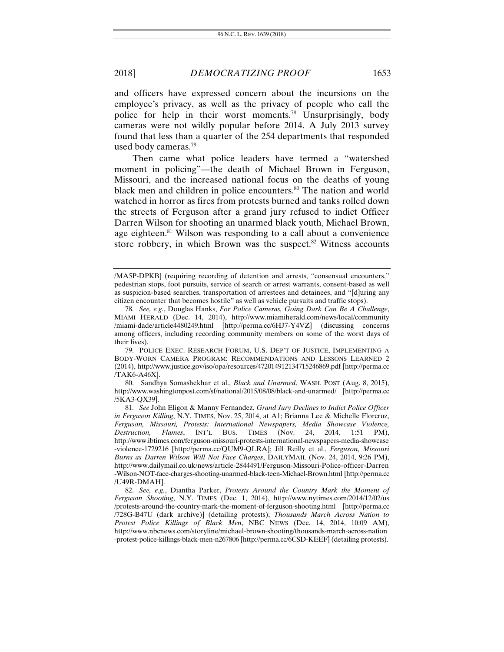and officers have expressed concern about the incursions on the employee's privacy, as well as the privacy of people who call the police for help in their worst moments.78 Unsurprisingly, body cameras were not wildly popular before 2014. A July 2013 survey found that less than a quarter of the 254 departments that responded used body cameras.79

Then came what police leaders have termed a "watershed moment in policing"—the death of Michael Brown in Ferguson, Missouri, and the increased national focus on the deaths of young black men and children in police encounters.<sup>80</sup> The nation and world watched in horror as fires from protests burned and tanks rolled down the streets of Ferguson after a grand jury refused to indict Officer Darren Wilson for shooting an unarmed black youth, Michael Brown, age eighteen.<sup>81</sup> Wilson was responding to a call about a convenience store robbery, in which Brown was the suspect. $82$  Witness accounts

 80. Sandhya Somashekhar et al., *Black and Unarmed*, WASH. POST (Aug. 8, 2015), http://www.washingtonpost.com/sf/national/2015/08/08/black-and-unarmed/ [http://perma.cc /5KA3-QX39].

<sup>/</sup>MA5P-DPKB] (requiring recording of detention and arrests, "consensual encounters," pedestrian stops, foot pursuits, service of search or arrest warrants, consent-based as well as suspicion-based searches, transportation of arrestees and detainees, and "[d]uring any citizen encounter that becomes hostile" as well as vehicle pursuits and traffic stops).

 <sup>78.</sup> *See, e.g.*, Douglas Hanks, *For Police Cameras, Going Dark Can Be A Challenge*, MIAMI HERALD (Dec. 14, 2014), http://www.miamiherald.com/news/local/community /miami-dade/article4480249.html [http://perma.cc/6HJ7-Y4VZ] (discussing concerns among officers, including recording community members on some of the worst days of their lives).

 <sup>79.</sup> POLICE EXEC. RESEARCH FORUM, U.S. DEP'T OF JUSTICE, IMPLEMENTING A BODY-WORN CAMERA PROGRAM: RECOMMENDATIONS AND LESSONS LEARNED 2 (2014), http://www.justice.gov/iso/opa/resources/472014912134715246869.pdf [http://perma.cc /TAK6-A46X].

 <sup>81.</sup> *See* John Eligon & Manny Fernandez, *Grand Jury Declines to Indict Police Officer in Ferguson Killing*, N.Y. TIMES, Nov. 25, 2014, at A1; Brianna Lee & Michelle Florcruz, *Ferguson, Missouri, Protests: International Newspapers, Media Showcase Violence, Destruction, Flames*, INT'L BUS. TIMES (Nov. 24, 2014, 1:51 PM), http://www.ibtimes.com/ferguson-missouri-protests-international-newspapers-media-showcase -violence-1729216 [http://perma.cc/QUM9-QLRA]; Jill Reilly et al., *Ferguson, Missouri Burns as Darren Wilson Will Not Face Charges*, DAILYMAIL (Nov. 24, 2014, 9:26 PM), http://www.dailymail.co.uk/news/article-2844491/Ferguson-Missouri-Police-officer-Darren -Wilson-NOT-face-charges-shooting-unarmed-black-teen-Michael-Brown.html [http://perma.cc /U49R-DMAH].

 <sup>82.</sup> *See, e.g.*, Diantha Parker, *Protests Around the Country Mark the Moment of Ferguson Shooting*, N.Y. TIMES (Dec. 1, 2014), http://www.nytimes.com/2014/12/02/us /protests-around-the-country-mark-the-moment-of-ferguson-shooting.html [http://perma.cc /728G-B47U (dark archive)] (detailing protests); *Thousands March Across Nation to Protest Police Killings of Black Men*, NBC NEWS (Dec. 14, 2014, 10:09 AM), http://www.nbcnews.com/storyline/michael-brown-shooting/thousands-march-across-nation -protest-police-killings-black-men-n267806 [http://perma.cc/6CSD-KEEF] (detailing protests).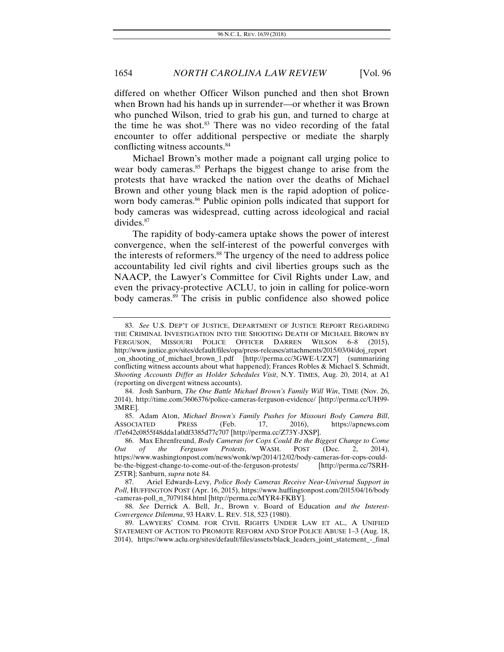differed on whether Officer Wilson punched and then shot Brown when Brown had his hands up in surrender—or whether it was Brown who punched Wilson, tried to grab his gun, and turned to charge at the time he was shot.<sup>83</sup> There was no video recording of the fatal encounter to offer additional perspective or mediate the sharply conflicting witness accounts.<sup>84</sup>

Michael Brown's mother made a poignant call urging police to wear body cameras.<sup>85</sup> Perhaps the biggest change to arise from the protests that have wracked the nation over the deaths of Michael Brown and other young black men is the rapid adoption of policeworn body cameras.<sup>86</sup> Public opinion polls indicated that support for body cameras was widespread, cutting across ideological and racial divides.<sup>87</sup>

The rapidity of body-camera uptake shows the power of interest convergence, when the self-interest of the powerful converges with the interests of reformers.<sup>88</sup> The urgency of the need to address police accountability led civil rights and civil liberties groups such as the NAACP, the Lawyer's Committee for Civil Rights under Law, and even the privacy-protective ACLU, to join in calling for police-worn body cameras.<sup>89</sup> The crisis in public confidence also showed police

 85. Adam Aton, *Michael Brown's Family Pushes for Missouri Body Camera Bill*, ASSOCIATED PRESS (Feb. 17, 2016), https://apnews.com /f7e642c0855f48dda1a0df3385d77c707 [http://perma.cc/Z73Y-JXSP].

 <sup>83.</sup> *See* U.S. DEP'T OF JUSTICE, DEPARTMENT OF JUSTICE REPORT REGARDING THE CRIMINAL INVESTIGATION INTO THE SHOOTING DEATH OF MICHAEL BROWN BY FERGUSON, MISSOURI POLICE OFFICER DARREN WILSON 6–8 (2015), http://www.justice.gov/sites/default/files/opa/press-releases/attachments/2015/03/04/doj\_report \_on\_shooting\_of\_michael\_brown\_1.pdf [http://perma.cc/3GWE-UZX7] (summarizing conflicting witness accounts about what happened); Frances Robles & Michael S. Schmidt, *Shooting Accounts Differ as Holder Schedules Visit*, N.Y. TIMES, Aug. 20, 2014, at A1 (reporting on divergent witness accounts).

 <sup>84.</sup> Josh Sanburn, *The One Battle Michael Brown's Family Will Win*, TIME (Nov. 26, 2014), http://time.com/3606376/police-cameras-ferguson-evidence/ [http://perma.cc/UH99- 3MRE].

 <sup>86.</sup> Max Ehrenfreund, *Body Cameras for Cops Could Be the Biggest Change to Come Out of the Ferguson Protests*, WASH. POST (Dec. 2, 2014), https://www.washingtonpost.com/news/wonk/wp/2014/12/02/body-cameras-for-cops-couldbe-the-biggest-change-to-come-out-of-the-ferguson-protests/ [http://perma.cc/7SRH-Z5TR]; Sanburn, *supra* note 84.

 <sup>87.</sup> Ariel Edwards-Levy, *Police Body Cameras Receive Near-Universal Support in Poll*, HUFFINGTON POST (Apr. 16, 2015), https://www.huffingtonpost.com/2015/04/16/body -cameras-poll\_n\_7079184.html [http://perma.cc/MYR4-FKBY].

 <sup>88.</sup> *See* Derrick A. Bell, Jr., Brown v. Board of Education *and the Interest-Convergence Dilemma*, 93 HARV. L. REV. 518, 523 (1980).

 <sup>89.</sup> LAWYERS' COMM. FOR CIVIL RIGHTS UNDER LAW ET AL., A UNIFIED STATEMENT OF ACTION TO PROMOTE REFORM AND STOP POLICE ABUSE 1–3 (Aug. 18, 2014), https://www.aclu.org/sites/default/files/assets/black\_leaders\_joint\_statement\_-\_final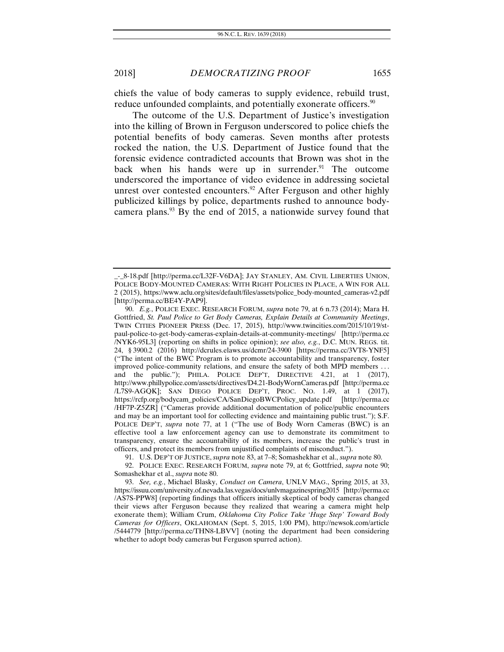chiefs the value of body cameras to supply evidence, rebuild trust, reduce unfounded complaints, and potentially exonerate officers.<sup>90</sup>

The outcome of the U.S. Department of Justice's investigation into the killing of Brown in Ferguson underscored to police chiefs the potential benefits of body cameras. Seven months after protests rocked the nation, the U.S. Department of Justice found that the forensic evidence contradicted accounts that Brown was shot in the back when his hands were up in surrender. $91$  The outcome underscored the importance of video evidence in addressing societal unrest over contested encounters.<sup>92</sup> After Ferguson and other highly publicized killings by police, departments rushed to announce bodycamera plans.<sup>93</sup> By the end of 2015, a nationwide survey found that

\_-\_8-18.pdf [http://perma.cc/L32F-V6DA]; JAY STANLEY, AM. CIVIL LIBERTIES UNION, POLICE BODY-MOUNTED CAMERAS: WITH RIGHT POLICIES IN PLACE, A WIN FOR ALL 2 (2015), https://www.aclu.org/sites/default/files/assets/police\_body-mounted\_cameras-v2.pdf [http://perma.cc/BE4Y-PAP9].

 <sup>90.</sup> *E.g.*, POLICE EXEC. RESEARCH FORUM, *supra* note 79, at 6 n.73 (2014); Mara H. Gottfried, *St. Paul Police to Get Body Cameras, Explain Details at Community Meetings*, TWIN CITIES PIONEER PRESS (Dec. 17, 2015), http://www.twincities.com/2015/10/19/stpaul-police-to-get-body-cameras-explain-details-at-community-meetings/ [http://perma.cc /NYK6-95L3] (reporting on shifts in police opinion); *see also, e.g.*, D.C. MUN. REGS. tit. 24, § 3900.2 (2016) http://dcrules.elaws.us/dcmr/24-3900 [https://perma.cc/3VT8-YNF5] ("The intent of the BWC Program is to promote accountability and transparency, foster improved police-community relations, and ensure the safety of both MPD members . . . and the public."); PHILA. POLICE DEP'T, DIRECTIVE 4.21, at 1 (2017), http://www.phillypolice.com/assets/directives/D4.21-BodyWornCameras.pdf [http://perma.cc /L7S9-AGQK]; SAN DIEGO POLICE DEP'T, PROC. NO. 1.49, at 1 (2017), https://rcfp.org/bodycam\_policies/CA/SanDiegoBWCPolicy\_update.pdf [http://perma.cc /HF7P-Z5ZR] ("Cameras provide additional documentation of police/public encounters and may be an important tool for collecting evidence and maintaining public trust."); S.F. POLICE DEP'T, *supra* note 77, at 1 ("The use of Body Worn Cameras (BWC) is an effective tool a law enforcement agency can use to demonstrate its commitment to transparency, ensure the accountability of its members, increase the public's trust in officers, and protect its members from unjustified complaints of misconduct.").

 <sup>91.</sup> U.S. DEP'T OF JUSTICE, *supra* note 83, at 7–8; Somashekhar et al., *supra* note 80.

 <sup>92.</sup> POLICE EXEC. RESEARCH FORUM, *supra* note 79, at 6; Gottfried, *supra* note 90; Somashekhar et al., *supra* note 80.

 <sup>93.</sup> *See, e.g.*, Michael Blasky, *Conduct on Camera*, UNLV MAG., Spring 2015, at 33, https://issuu.com/university.of.nevada.las.vegas/docs/unlvmagazinespring2015 [http://perma.cc /AS7S-PPW8] (reporting findings that officers initially skeptical of body cameras changed their views after Ferguson because they realized that wearing a camera might help exonerate them); William Crum, *Oklahoma City Police Take 'Huge Step' Toward Body Cameras for Officers*, OKLAHOMAN (Sept. 5, 2015, 1:00 PM), http://newsok.com/article /5444779 [http://perma.cc/THN8-LBVV] (noting the department had been considering whether to adopt body cameras but Ferguson spurred action).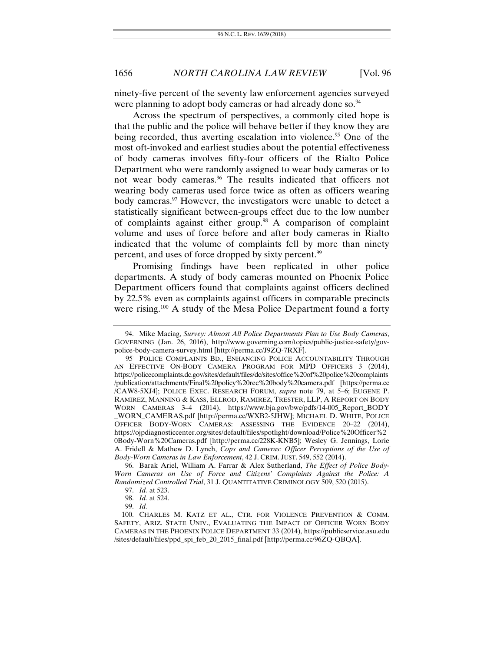ninety-five percent of the seventy law enforcement agencies surveyed were planning to adopt body cameras or had already done so.<sup>94</sup>

Across the spectrum of perspectives, a commonly cited hope is that the public and the police will behave better if they know they are being recorded, thus averting escalation into violence.<sup>95</sup> One of the most oft-invoked and earliest studies about the potential effectiveness of body cameras involves fifty-four officers of the Rialto Police Department who were randomly assigned to wear body cameras or to not wear body cameras.<sup>96</sup> The results indicated that officers not wearing body cameras used force twice as often as officers wearing body cameras.<sup>97</sup> However, the investigators were unable to detect a statistically significant between-groups effect due to the low number of complaints against either group.<sup>98</sup> A comparison of complaint volume and uses of force before and after body cameras in Rialto indicated that the volume of complaints fell by more than ninety percent, and uses of force dropped by sixty percent.<sup>99</sup>

Promising findings have been replicated in other police departments. A study of body cameras mounted on Phoenix Police Department officers found that complaints against officers declined by 22.5% even as complaints against officers in comparable precincts were rising.<sup>100</sup> A study of the Mesa Police Department found a forty

 <sup>94.</sup> Mike Maciag, *Survey: Almost All Police Departments Plan to Use Body Cameras*, GOVERNING (Jan. 26, 2016), http://www.governing.com/topics/public-justice-safety/govpolice-body-camera-survey.html [http://perma.cc/J9ZQ-7RXF].

<sup>95</sup>. POLICE COMPLAINTS BD., ENHANCING POLICE ACCOUNTABILITY THROUGH AN EFFECTIVE ON-BODY CAMERA PROGRAM FOR MPD OFFICERS 3 (2014), https://policecomplaints.dc.gov/sites/default/files/dc/sites/office%20of%20police%20complaints /publication/attachments/Final%20policy%20rec%20body%20camera.pdf [https://perma.cc /CAW8-5XJ4]; POLICE EXEC. RESEARCH FORUM, *supra* note 79, at 5–6; EUGENE P. RAMIREZ, MANNING & KASS, ELLROD, RAMIREZ, TRESTER, LLP, A REPORT ON BODY WORN CAMERAS 3–4 (2014), https://www.bja.gov/bwc/pdfs/14-005\_Report\_BODY \_WORN\_CAMERAS.pdf [http://perma.cc/WXB2-5JHW]; MICHAEL D. WHITE, POLICE OFFICER BODY-WORN CAMERAS: ASSESSING THE EVIDENCE 20–22 (2014), https://ojpdiagnosticcenter.org/sites/default/files/spotlight/download/Police%20Officer%2 0Body-Worn%20Cameras.pdf [http://perma.cc/228K-KNB5]; Wesley G. Jennings, Lorie A. Fridell & Mathew D. Lynch, *Cops and Cameras: Officer Perceptions of the Use of Body-Worn Cameras in Law Enforcement*, 42 J. CRIM. JUST. 549, 552 (2014).

 <sup>96.</sup> Barak Ariel, William A. Farrar & Alex Sutherland, *The Effect of Police Body-Worn Cameras on Use of Force and Citizens' Complaints Against the Police: A Randomized Controlled Trial*, 31 J. QUANTITATIVE CRIMINOLOGY 509, 520 (2015).

 <sup>97.</sup> *Id.* at 523.

 <sup>98.</sup> *Id.* at 524.

 <sup>99.</sup> *Id.*

 <sup>100.</sup> CHARLES M. KATZ ET AL., CTR. FOR VIOLENCE PREVENTION & COMM. SAFETY, ARIZ. STATE UNIV., EVALUATING THE IMPACT OF OFFICER WORN BODY CAMERAS IN THE PHOENIX POLICE DEPARTMENT 33 (2014), https://publicservice.asu.edu /sites/default/files/ppd\_spi\_feb\_20\_2015\_final.pdf [http://perma.cc/96ZQ-QBQA].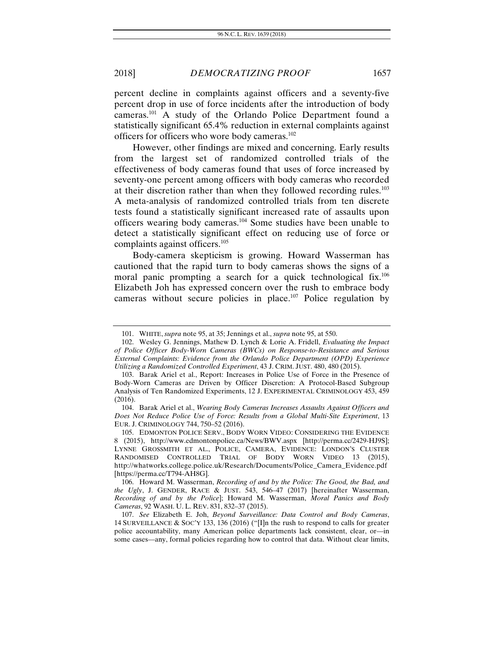percent decline in complaints against officers and a seventy-five percent drop in use of force incidents after the introduction of body cameras.101 A study of the Orlando Police Department found a statistically significant 65.4% reduction in external complaints against officers for officers who wore body cameras.<sup>102</sup>

However, other findings are mixed and concerning. Early results from the largest set of randomized controlled trials of the effectiveness of body cameras found that uses of force increased by seventy-one percent among officers with body cameras who recorded at their discretion rather than when they followed recording rules.<sup>103</sup> A meta-analysis of randomized controlled trials from ten discrete tests found a statistically significant increased rate of assaults upon officers wearing body cameras.104 Some studies have been unable to detect a statistically significant effect on reducing use of force or complaints against officers.<sup>105</sup>

Body-camera skepticism is growing. Howard Wasserman has cautioned that the rapid turn to body cameras shows the signs of a moral panic prompting a search for a quick technological fix.<sup>106</sup> Elizabeth Joh has expressed concern over the rush to embrace body cameras without secure policies in place.107 Police regulation by

 <sup>101.</sup> WHITE, *supra* note 95, at 35; Jennings et al., *supra* note 95, at 550.

 <sup>102.</sup> Wesley G. Jennings, Mathew D. Lynch & Lorie A. Fridell, *Evaluating the Impact of Police Officer Body-Worn Cameras (BWCs) on Response-to-Resistance and Serious External Complaints: Evidence from the Orlando Police Department (OPD) Experience Utilizing a Randomized Controlled Experiment*, 43 J. CRIM. JUST. 480, 480 (2015).

 <sup>103.</sup> Barak Ariel et al., Report: Increases in Police Use of Force in the Presence of Body-Worn Cameras are Driven by Officer Discretion: A Protocol-Based Subgroup Analysis of Ten Randomized Experiments, 12 J. EXPERIMENTAL CRIMINOLOGY 453, 459 (2016).

 <sup>104.</sup> Barak Ariel et al., *Wearing Body Cameras Increases Assaults Against Officers and Does Not Reduce Police Use of Force: Results from a Global Multi-Site Experiment*, 13 EUR. J. CRIMINOLOGY 744, 750–52 (2016).

 <sup>105.</sup> EDMONTON POLICE SERV., BODY WORN VIDEO: CONSIDERING THE EVIDENCE 8 (2015), http://www.edmontonpolice.ca/News/BWV.aspx [http://perma.cc/2429-HJ9S]; LYNNE GROSSMITH ET AL., POLICE, CAMERA, EVIDENCE: LONDON'S CLUSTER RANDOMISED CONTROLLED TRIAL OF BODY WORN VIDEO 13 (2015), http://whatworks.college.police.uk/Research/Documents/Police\_Camera\_Evidence.pdf [https://perma.cc/T794-AH8G].

 <sup>106.</sup> Howard M. Wasserman, *Recording of and by the Police: The Good, the Bad, and the Ugly*, J. GENDER, RACE & JUST. 543, 546–47 (2017) [hereinafter Wasserman, *Recording of and by the Police*]; Howard M. Wasserman, *Moral Panics and Body Cameras*, 92 WASH. U. L. REV. 831, 832–37 (2015).

<sup>107.</sup> *See* Elizabeth E. Joh, *Beyond Surveillance: Data Control and Body Cameras*, 14 SURVEILLANCE & SOC'Y 133, 136 (2016) ("[I]n the rush to respond to calls for greater police accountability, many American police departments lack consistent, clear, or––in some cases––any, formal policies regarding how to control that data. Without clear limits,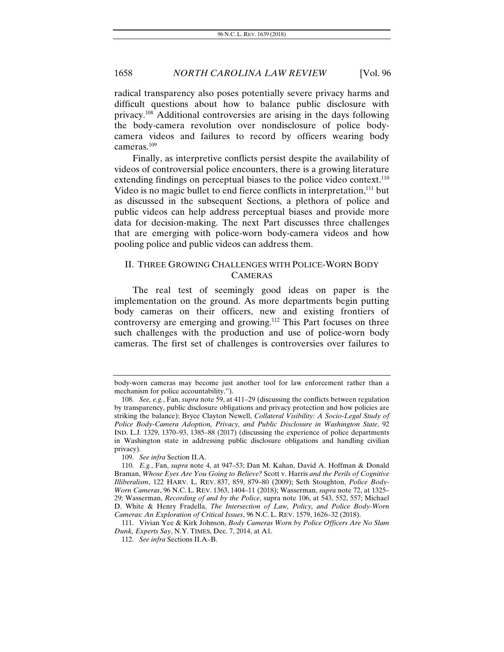radical transparency also poses potentially severe privacy harms and difficult questions about how to balance public disclosure with privacy.108 Additional controversies are arising in the days following the body-camera revolution over nondisclosure of police bodycamera videos and failures to record by officers wearing body cameras.109

Finally, as interpretive conflicts persist despite the availability of videos of controversial police encounters, there is a growing literature extending findings on perceptual biases to the police video context.<sup>110</sup> Video is no magic bullet to end fierce conflicts in interpretation,<sup>111</sup> but as discussed in the subsequent Sections, a plethora of police and public videos can help address perceptual biases and provide more data for decision-making. The next Part discusses three challenges that are emerging with police-worn body-camera videos and how pooling police and public videos can address them.

# II. THREE GROWING CHALLENGES WITH POLICE-WORN BODY CAMERAS

The real test of seemingly good ideas on paper is the implementation on the ground. As more departments begin putting body cameras on their officers, new and existing frontiers of controversy are emerging and growing.<sup>112</sup> This Part focuses on three such challenges with the production and use of police-worn body cameras. The first set of challenges is controversies over failures to

body-worn cameras may become just another tool for law enforcement rather than a mechanism for police accountability.").

<sup>108.</sup> *See, e.g.*, Fan, *supra* note 59, at 411–29 (discussing the conflicts between regulation by transparency, public disclosure obligations and privacy protection and how policies are striking the balance); Bryce Clayton Newell, *Collateral Visibility: A Socio-Legal Study of Police Body-Camera Adoption, Privacy, and Public Disclosure in Washington State*, 92 IND. L.J. 1329, 1370–93, 1385–88 (2017) (discussing the experience of police departments in Washington state in addressing public disclosure obligations and handling civilian privacy).

<sup>109.</sup> *See infra* Section II.A.

<sup>110.</sup> *E.g.*, Fan, *supra* note 4, at 947–53; Dan M. Kahan, David A. Hoffman & Donald Braman, *Whose Eyes Are You Going to Believe?* Scott v. Harris *and the Perils of Cognitive Illiberalism*, 122 HARV. L. REV. 837, 859, 879–80 (2009); Seth Stoughton, *Police Body-Worn Cameras*, 96 N.C. L. REV. 1363, 1404–11 (2018); Wasserman, *supra* note 72, at 1325– 29; Wasserman, *Recording of and by the Police*, supra note 106, at 543, 552, 557; Michael D. White & Henry Fradella, *The Intersection of Law, Policy, and Police Body-Worn Cameras: An Exploration of Critical Issues*, 96 N.C. L. REV. 1579, 1626–32 (2018).

 <sup>111.</sup> Vivian Yee & Kirk Johnson, *Body Cameras Worn by Police Officers Are No Slam Dunk, Experts Say*, N.Y. TIMES, Dec. 7, 2014, at A1.

<sup>112.</sup> *See infra* Sections II.A–B.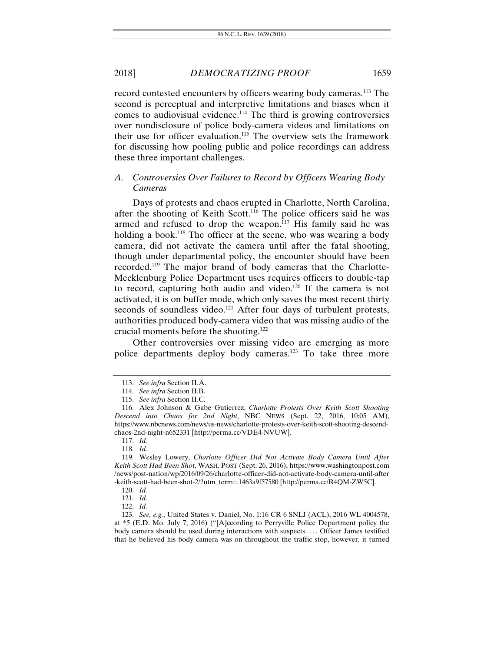record contested encounters by officers wearing body cameras.<sup>113</sup> The second is perceptual and interpretive limitations and biases when it comes to audiovisual evidence.<sup>114</sup> The third is growing controversies over nondisclosure of police body-camera videos and limitations on their use for officer evaluation.<sup>115</sup> The overview sets the framework for discussing how pooling public and police recordings can address these three important challenges.

# *A. Controversies Over Failures to Record by Officers Wearing Body Cameras*

Days of protests and chaos erupted in Charlotte, North Carolina, after the shooting of Keith Scott.<sup>116</sup> The police officers said he was armed and refused to drop the weapon.<sup>117</sup> His family said he was holding a book.<sup>118</sup> The officer at the scene, who was wearing a body camera, did not activate the camera until after the fatal shooting, though under departmental policy, the encounter should have been recorded.119 The major brand of body cameras that the Charlotte-Mecklenburg Police Department uses requires officers to double-tap to record, capturing both audio and video.<sup>120</sup> If the camera is not activated, it is on buffer mode, which only saves the most recent thirty seconds of soundless video.<sup>121</sup> After four days of turbulent protests, authorities produced body-camera video that was missing audio of the crucial moments before the shooting.122

Other controversies over missing video are emerging as more police departments deploy body cameras.<sup>123</sup> To take three more

117. *Id.*

118. *Id.*

<sup>113.</sup> *See infra* Section II.A.

<sup>114.</sup> *See infra* Section II.B.

<sup>115.</sup> *See infra* Section II.C.

 <sup>116.</sup> Alex Johnson & Gabe Gutierrez, *Charlotte Protests Over Keith Scott Shooting Descend into Chaos for 2nd Night*, NBC NEWS (Sept. 22, 2016, 10:05 AM), https://www.nbcnews.com/news/us-news/charlotte-protests-over-keith-scott-shooting-descendchaos-2nd-night-n652331 [http://perma.cc/VDE4-NVUW].

 <sup>119.</sup> Wesley Lowery, *Charlotte Officer Did Not Activate Body Camera Until After Keith Scott Had Been Shot*, WASH. POST (Sept. 26, 2016), https://www.washingtonpost.com /news/post-nation/wp/2016/09/26/charlotte-officer-did-not-activate-body-camera-until-after -keith-scott-had-been-shot-2/?utm\_term=.1463a9f57580 [http://perma.cc/R4QM-ZW5C].

<sup>120.</sup> *Id.*

<sup>121.</sup> *Id.*

<sup>122.</sup> *Id.*

<sup>123.</sup> *See, e.g.*, United States v. Daniel, No. 1:16 CR 6 SNLJ (ACL), 2016 WL 4004578, at \*5 (E.D. Mo. July 7, 2016) ("[A]ccording to Perryville Police Department policy the body camera should be used during interactions with suspects. . . . Officer James testified that he believed his body camera was on throughout the traffic stop, however, it turned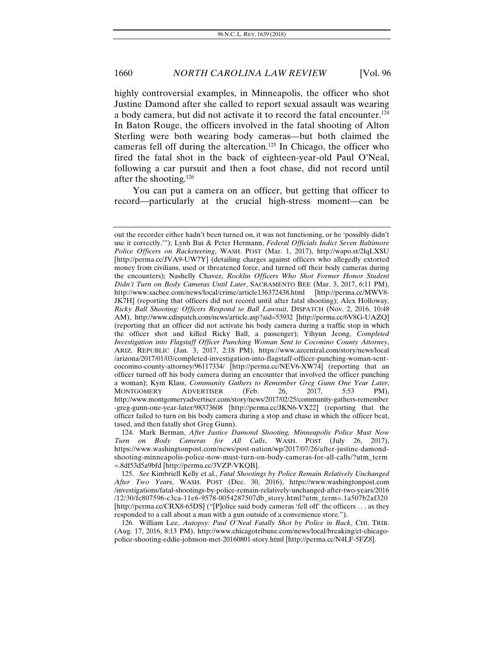highly controversial examples, in Minneapolis, the officer who shot Justine Damond after she called to report sexual assault was wearing a body camera, but did not activate it to record the fatal encounter.124 In Baton Rouge, the officers involved in the fatal shooting of Alton Sterling were both wearing body cameras—but both claimed the cameras fell off during the altercation.<sup>125</sup> In Chicago, the officer who fired the fatal shot in the back of eighteen-year-old Paul O'Neal, following a car pursuit and then a foot chase, did not record until after the shooting.126

You can put a camera on an officer, but getting that officer to record—particularly at the crucial high-stress moment—can be

out the recorder either hadn't been turned on, it was not functioning, or he 'possibly didn't use it correctly.'"); Lynh Bui & Peter Hermann, *Federal Officials Indict Seven Baltimore Police Officers on Racketeering*, WASH. POST (Mar. 1, 2017), http://wapo.st/2lqLXSU [http://perma.cc/JVA9-UW7Y] (detailing charges against officers who allegedly extorted money from civilians, used or threatened force, and turned off their body cameras during the encounters); Nashelly Chavez, *Rocklin Officers Who Shot Former Honor Student Didn't Turn on Body Cameras Until Later*, SACRAMENTO BEE (Mar. 3, 2017, 6:11 PM), http://www.sacbee.com/news/local/crime/article136372438.html [http://perma.cc/MWV8- JK7H] (reporting that officers did not record until after fatal shooting); Alex Holloway, *Ricky Ball Shooting: Officers Respond to Ball Lawsuit*, DISPATCH (Nov. 2, 2016, 10:48 AM), http://www.cdispatch.com/news/article.asp?aid=53932 [http://perma.cc/6V8G-UAZQ] (reporting that an officer did not activate his body camera during a traffic stop in which the officer shot and killed Ricky Ball, a passenger); Yihyun Jeong, *Completed Investigation into Flagstaff Officer Punching Woman Sent to Coconino County Attorney*, ARIZ. REPUBLIC (Jan. 3, 2017, 2:18 PM), https://www.azcentral.com/story/news/local /arizona/2017/01/03/completed-investigation-into-flagstaff-officer-punching-woman-sentcoconino-county-attorney/96117334/ [http://perma.cc/NEV6-XW74] (reporting that an officer turned off his body camera during an encounter that involved the officer punching a woman); Kym Klass, *Community Gathers to Remember Greg Gunn One Year Later*, MONTGOMERY ADVERTISER (Feb. 26, 2017, 5:53 PM), http://www.montgomeryadvertiser.com/story/news/2017/02/25/community-gathers-remember -greg-gunn-one-year-later/98373608 [http://perma.cc/JKN6-VX22] (reporting that the officer failed to turn on his body camera during a stop and chase in which the officer beat, tased, and then fatally shot Greg Gunn).

 <sup>124.</sup> Mark Berman, *After Justice Damond Shooting, Minneapolis Police Must Now Turn on Body Cameras for All Calls*, WASH. POST (July 26, 2017), https://www.washingtonpost.com/news/post-nation/wp/2017/07/26/after-justine-damondshooting-minneapolis-police-now-must-turn-on-body-cameras-for-all-calls/?utm\_term =.8df53d5a9bfd [http://perma.cc/3VZP-VKQB].

<sup>125.</sup> *See* Kimbriell Kelly et al., *Fatal Shootings by Police Remain Relatively Unchanged After Two Years*, WASH. POST (Dec. 30, 2016), https://www.washingtonpost.com /investigations/fatal-shootings-by-police-remain-relatively-unchanged-after-two-years/2016 /12/30/fc807596-c3ca-11e6-9578-0054287507db\_story.html?utm\_term=.1a507b2af320 [http://perma.cc/CRX8-65DS] ("[P]olice said body cameras 'fell off' the officers . . . as they responded to a call about a man with a gun outside of a convenience store.").

 <sup>126.</sup> William Lee, *Autopsy: Paul O'Neal Fatally Shot by Police in Back*, CHI. TRIB. (Aug. 17, 2016, 8:13 PM), http://www.chicagotribune.com/news/local/breaking/ct-chicagopolice-shooting-eddie-johnson-met-20160801-story.html [http://perma.cc/N4LF-5FZ8].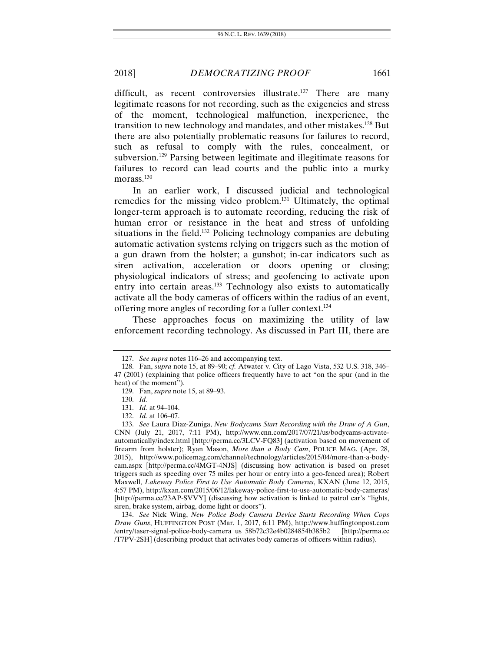difficult, as recent controversies illustrate.<sup>127</sup> There are many legitimate reasons for not recording, such as the exigencies and stress of the moment, technological malfunction, inexperience, the transition to new technology and mandates, and other mistakes.128 But there are also potentially problematic reasons for failures to record, such as refusal to comply with the rules, concealment, or subversion.129 Parsing between legitimate and illegitimate reasons for failures to record can lead courts and the public into a murky morass.<sup>130</sup>

In an earlier work, I discussed judicial and technological remedies for the missing video problem.131 Ultimately, the optimal longer-term approach is to automate recording, reducing the risk of human error or resistance in the heat and stress of unfolding situations in the field.<sup>132</sup> Policing technology companies are debuting automatic activation systems relying on triggers such as the motion of a gun drawn from the holster; a gunshot; in-car indicators such as siren activation, acceleration or doors opening or closing; physiological indicators of stress; and geofencing to activate upon entry into certain areas.<sup>133</sup> Technology also exists to automatically activate all the body cameras of officers within the radius of an event, offering more angles of recording for a fuller context.134

These approaches focus on maximizing the utility of law enforcement recording technology. As discussed in Part III, there are

134. *See* Nick Wing, *New Police Body Camera Device Starts Recording When Cops Draw Guns*, HUFFINGTON POST (Mar. 1, 2017, 6:11 PM), http://www.huffingtonpost.com /entry/taser-signal-police-body-camera\_us\_58b72c32e4b0284854b385b2 [http://perma.cc /T7PV-2SH] (describing product that activates body cameras of officers within radius).

<sup>127.</sup> *See supra* notes 116–26 and accompanying text.

 <sup>128.</sup> Fan, *supra* note 15, at 89–90; *cf.* Atwater v. City of Lago Vista, 532 U.S. 318, 346– 47 (2001) (explaining that police officers frequently have to act "on the spur (and in the heat) of the moment").

 <sup>129.</sup> Fan, *supra* note 15, at 89–93.

<sup>130.</sup> *Id.* 

<sup>131.</sup> *Id.* at 94–104.

<sup>132.</sup> *Id.* at 106–07.

<sup>133.</sup> *See* Laura Diaz-Zuniga, *New Bodycams Start Recording with the Draw of A Gun*, CNN (July 21, 2017, 7:11 PM), http://www.cnn.com/2017/07/21/us/bodycams-activateautomatically/index.html [http://perma.cc/3LCV-FQ83] (activation based on movement of firearm from holster); Ryan Mason, *More than a Body Cam*, POLICE MAG. (Apr. 28, 2015), http://www.policemag.com/channel/technology/articles/2015/04/more-than-a-bodycam.aspx [http://perma.cc/4MGT-4NJS] (discussing how activation is based on preset triggers such as speeding over 75 miles per hour or entry into a geo-fenced area); Robert Maxwell, *Lakeway Police First to Use Automatic Body Cameras*, KXAN (June 12, 2015, 4:57 PM), http://kxan.com/2015/06/12/lakeway-police-first-to-use-automatic-body-cameras/ [http://perma.cc/23AP-SVVY] (discussing how activation is linked to patrol car's "lights, siren, brake system, airbag, dome light or doors").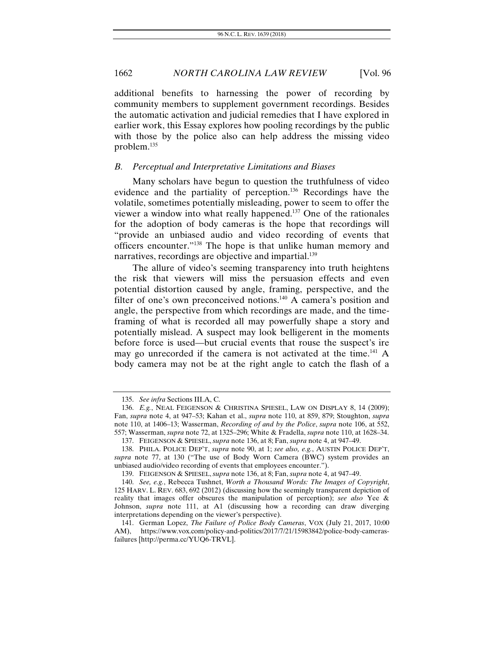additional benefits to harnessing the power of recording by community members to supplement government recordings. Besides the automatic activation and judicial remedies that I have explored in earlier work, this Essay explores how pooling recordings by the public with those by the police also can help address the missing video problem.135

#### *B. Perceptual and Interpretative Limitations and Biases*

Many scholars have begun to question the truthfulness of video evidence and the partiality of perception.136 Recordings have the volatile, sometimes potentially misleading, power to seem to offer the viewer a window into what really happened.137 One of the rationales for the adoption of body cameras is the hope that recordings will "provide an unbiased audio and video recording of events that officers encounter."138 The hope is that unlike human memory and narratives, recordings are objective and impartial.<sup>139</sup>

The allure of video's seeming transparency into truth heightens the risk that viewers will miss the persuasion effects and even potential distortion caused by angle, framing, perspective, and the filter of one's own preconceived notions.<sup>140</sup> A camera's position and angle, the perspective from which recordings are made, and the timeframing of what is recorded all may powerfully shape a story and potentially mislead. A suspect may look belligerent in the moments before force is used—but crucial events that rouse the suspect's ire may go unrecorded if the camera is not activated at the time.<sup>141</sup> A body camera may not be at the right angle to catch the flash of a

<sup>135.</sup> *See infra* Sections III.A, C.

<sup>136.</sup> *E.g.*, NEAL FEIGENSON & CHRISTINA SPIESEL, LAW ON DISPLAY 8, 14 (2009); Fan, *supra* note 4, at 947–53; Kahan et al., *supra* note 110, at 859, 879; Stoughton, *supra* note 110, at 1406–13; Wasserman, *Recording of and by the Police*, *supra* note 106, at 552, 557; Wasserman, *supra* note 72, at 1325–296; White & Fradella, *supra* note 110, at 1628–34.

 <sup>137.</sup> FEIGENSON & SPIESEL, *supra* note 136, at 8; Fan, *supra* note 4, at 947–49.

 <sup>138.</sup> PHILA. POLICE DEP'T, *supra* note 90, at 1; *see also, e.g.*, AUSTIN POLICE DEP'T, *supra* note 77, at 130 ("The use of Body Worn Camera (BWC) system provides an unbiased audio/video recording of events that employees encounter.").

 <sup>139.</sup> FEIGENSON & SPIESEL, *supra* note 136, at 8; Fan, *supra* note 4, at 947–49.

<sup>140.</sup> *See, e.g.*, Rebecca Tushnet, *Worth a Thousand Words: The Images of Copyright*, 125 HARV. L. REV. 683, 692 (2012) (discussing how the seemingly transparent depiction of reality that images offer obscures the manipulation of perception); *see also* Yee & Johnson, *supra* note 111, at A1 (discussing how a recording can draw diverging interpretations depending on the viewer's perspective).

 <sup>141.</sup> German Lopez, *The Failure of Police Body Cameras*, VOX (July 21, 2017, 10:00 AM), https://www.vox.com/policy-and-politics/2017/7/21/15983842/police-body-camerasfailures [http://perma.cc/YUQ6-TRVL].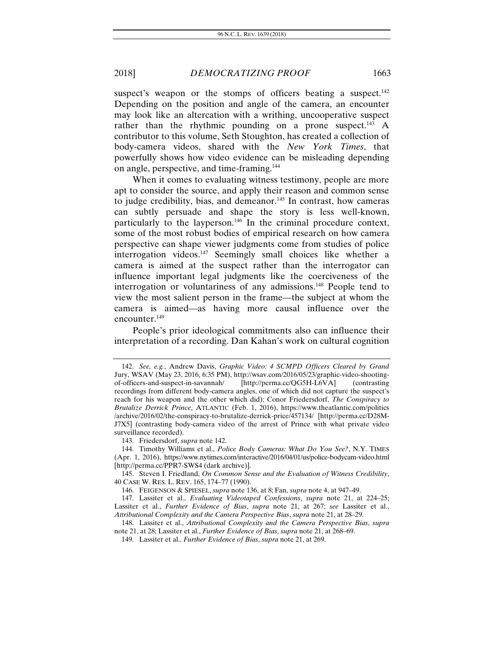suspect's weapon or the stomps of officers beating a suspect.<sup>142</sup> Depending on the position and angle of the camera, an encounter may look like an altercation with a writhing, uncooperative suspect rather than the rhythmic pounding on a prone suspect.<sup>143</sup> A contributor to this volume, Seth Stoughton, has created a collection of body-camera videos, shared with the *New York Times*, that powerfully shows how video evidence can be misleading depending on angle, perspective, and time-framing.144

When it comes to evaluating witness testimony, people are more apt to consider the source, and apply their reason and common sense to judge credibility, bias, and demeanor.<sup>145</sup> In contrast, how cameras can subtly persuade and shape the story is less well-known, particularly to the layperson.146 In the criminal procedure context, some of the most robust bodies of empirical research on how camera perspective can shape viewer judgments come from studies of police interrogation videos.<sup>147</sup> Seemingly small choices like whether a camera is aimed at the suspect rather than the interrogator can influence important legal judgments like the coerciveness of the interrogation or voluntariness of any admissions.<sup>148</sup> People tend to view the most salient person in the frame—the subject at whom the camera is aimed—as having more causal influence over the encounter.149

People's prior ideological commitments also can influence their interpretation of a recording. Dan Kahan's work on cultural cognition

<sup>142.</sup> *See, e.g.*, Andrew Davis, *Graphic Video: 4 SCMPD Officers Cleared by Grand*  Jury, WSAV (May 23, 2016, 6:35 PM), http://wsav.com/2016/05/23/graphic-video-shootingof-officers-and-suspect-in-savannah/ [http://perma.cc/QG5H-L6VA] (contrasting recordings from different body-camera angles, one of which did not capture the suspect's reach for his weapon and the other which did); Conor Friedersdorf, *The Conspiracy to Brutalize Derrick Prince*, ATLANTIC (Feb. 1, 2016), https://www.theatlantic.com/politics /archive/2016/02/the-conspiracy-to-brutalize-derrick-price/457134/ [http://perma.cc/D28M-J7X5] (contrasting body-camera video of the arrest of Prince with what private video surveillance recorded).

 <sup>143.</sup> Friedersdorf, *supra* note 142.

 <sup>144.</sup> Timothy Williams et al., *Police Body Cameras: What Do You See?*, N.Y. TIMES (Apr. 1, 2016), https://www.nytimes.com/interactive/2016/04/01/us/police-bodycam-video.html [http://perma.cc/PPR7-SWS4 (dark archive)].

 <sup>145.</sup> Steven I. Friedland, *On Common Sense and the Evaluation of Witness Credibility*, 40 CASE W. RES. L. REV. 165, 174–77 (1990).

 <sup>146.</sup> FEIGENSON & SPIESEL, *supra* note 136, at 8; Fan, *supra* note 4, at 947–49.

 <sup>147.</sup> Lassiter et al., *Evaluating Videotaped Confessions*, *supra* note 21, at 224–25; Lassiter et al., *Further Evidence of Bias*, *supra* note 21, at 267; *see* Lassiter et al., *Attributional Complexity and the Camera Perspective Bias*, *supra* note 21, at 28–29.

 <sup>148.</sup> Lassiter et al., *Attributional Complexity and the Camera Perspective Bias*, *supra*  note 21, at 28; Lassiter et al., *Further Evidence of Bias*, *supra* note 21, at 268–69.

 <sup>149.</sup> Lassiter et al., *Further Evidence of Bias*, *supra* note 21, at 269.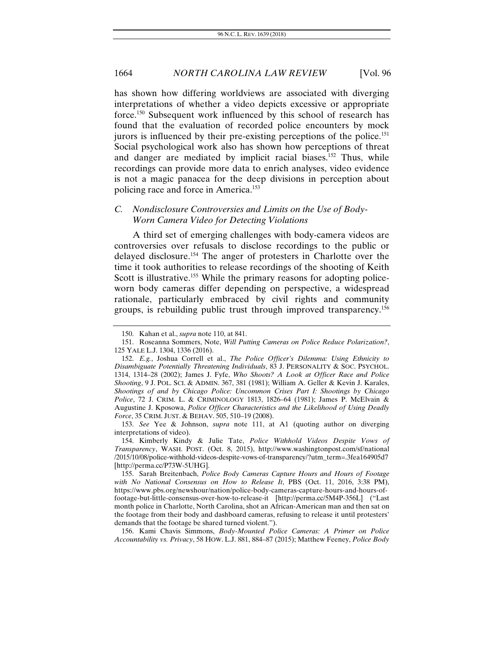has shown how differing worldviews are associated with diverging interpretations of whether a video depicts excessive or appropriate force.150 Subsequent work influenced by this school of research has found that the evaluation of recorded police encounters by mock jurors is influenced by their pre-existing perceptions of the police.<sup>151</sup> Social psychological work also has shown how perceptions of threat and danger are mediated by implicit racial biases.152 Thus, while recordings can provide more data to enrich analyses, video evidence is not a magic panacea for the deep divisions in perception about policing race and force in America.153

# *C. Nondisclosure Controversies and Limits on the Use of Body-Worn Camera Video for Detecting Violations*

A third set of emerging challenges with body-camera videos are controversies over refusals to disclose recordings to the public or delayed disclosure.154 The anger of protesters in Charlotte over the time it took authorities to release recordings of the shooting of Keith Scott is illustrative.<sup>155</sup> While the primary reasons for adopting policeworn body cameras differ depending on perspective, a widespread rationale, particularly embraced by civil rights and community groups, is rebuilding public trust through improved transparency.156

 156. Kami Chavis Simmons, *Body-Mounted Police Cameras: A Primer on Police Accountability vs. Privacy*, 58 HOW. L.J. 881, 884–87 (2015); Matthew Feeney, *Police Body* 

 <sup>150.</sup> Kahan et al., *supra* note 110, at 841.

 <sup>151.</sup> Roseanna Sommers, Note, *Will Putting Cameras on Police Reduce Polarization?*, 125 YALE L.J. 1304, 1336 (2016).

<sup>152.</sup> *E.g.*, Joshua Correll et al., *The Police Officer's Dilemma: Using Ethnicity to Disambiguate Potentially Threatening Individuals*, 83 J. PERSONALITY & SOC. PSYCHOL. 1314, 1314–28 (2002); James J. Fyfe, *Who Shoots? A Look at Officer Race and Police Shooting*, 9 J. POL. SCI. & ADMIN. 367, 381 (1981); William A. Geller & Kevin J. Karales, *Shootings of and by Chicago Police: Uncommon Crises Part I: Shootings by Chicago Police*, 72 J. CRIM. L. & CRIMINOLOGY 1813, 1826–64 (1981); James P. McElvain & Augustine J. Kposowa, *Police Officer Characteristics and the Likelihood of Using Deadly Force*, 35 CRIM. JUST. & BEHAV. 505, 510–19 (2008).

<sup>153.</sup> *See* Yee & Johnson, *supra* note 111, at A1 (quoting author on diverging interpretations of video).

 <sup>154.</sup> Kimberly Kindy & Julie Tate, *Police Withhold Videos Despite Vows of Transparency*, WASH. POST. (Oct. 8, 2015), http://www.washingtonpost.com/sf/national /2015/10/08/police-withhold-videos-despite-vows-of-transparency/?utm\_term=.3fea164905d7 [http://perma.cc/P73W-5UHG].

 <sup>155.</sup> Sarah Breitenbach, *Police Body Cameras Capture Hours and Hours of Footage with No National Consensus on How to Release It*, PBS (Oct. 11, 2016, 3:38 PM), https://www.pbs.org/newshour/nation/police-body-cameras-capture-hours-and-hours-offootage-but-little-consensus-over-how-to-release-it [http://perma.cc/5M4P-356L] ("Last month police in Charlotte, North Carolina, shot an African-American man and then sat on the footage from their body and dashboard cameras, refusing to release it until protesters' demands that the footage be shared turned violent.").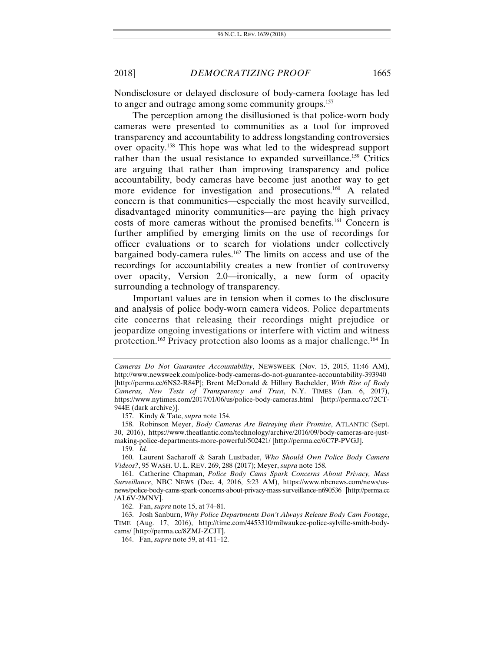Nondisclosure or delayed disclosure of body-camera footage has led to anger and outrage among some community groups.<sup>157</sup>

The perception among the disillusioned is that police-worn body cameras were presented to communities as a tool for improved transparency and accountability to address longstanding controversies over opacity.158 This hope was what led to the widespread support rather than the usual resistance to expanded surveillance.<sup>159</sup> Critics are arguing that rather than improving transparency and police accountability, body cameras have become just another way to get more evidence for investigation and prosecutions.<sup>160</sup> A related concern is that communities—especially the most heavily surveilled, disadvantaged minority communities—are paying the high privacy costs of more cameras without the promised benefits.161 Concern is further amplified by emerging limits on the use of recordings for officer evaluations or to search for violations under collectively bargained body-camera rules.162 The limits on access and use of the recordings for accountability creates a new frontier of controversy over opacity, Version 2.0—ironically, a new form of opacity surrounding a technology of transparency.

Important values are in tension when it comes to the disclosure and analysis of police body-worn camera videos. Police departments cite concerns that releasing their recordings might prejudice or jeopardize ongoing investigations or interfere with victim and witness protection.163 Privacy protection also looms as a major challenge.164 In

157. Kindy & Tate, *supra* note 154.

162. Fan, *supra* note 15, at 74–81.

*Cameras Do Not Guarantee Accountability*, NEWSWEEK (Nov. 15, 2015, 11:46 AM), http://www.newsweek.com/police-body-cameras-do-not-guarantee-accountability-393940 [http://perma.cc/6NS2-R84P]; Brent McDonald & Hillary Bachelder, *With Rise of Body Cameras, New Tests of Transparency and Trust*, N.Y. TIMES (Jan. 6, 2017), https://www.nytimes.com/2017/01/06/us/police-body-cameras.html [http://perma.cc/72CT-944E (dark archive)].

 <sup>158.</sup> Robinson Meyer, *Body Cameras Are Betraying their Promise*, ATLANTIC (Sept. 30, 2016), https://www.theatlantic.com/technology/archive/2016/09/body-cameras-are-justmaking-police-departments-more-powerful/502421/ [http://perma.cc/6C7P-PVGJ].

<sup>159.</sup> *Id.*

 <sup>160.</sup> Laurent Sacharoff & Sarah Lustbader, *Who Should Own Police Body Camera Videos?*, 95 WASH. U. L. REV. 269, 288 (2017); Meyer, *supra* note 158.

 <sup>161.</sup> Catherine Chapman, *Police Body Cams Spark Concerns About Privacy, Mass Surveillance*, NBC NEWS (Dec. 4, 2016, 5:23 AM), https://www.nbcnews.com/news/usnews/police-body-cams-spark-concerns-about-privacy-mass-surveillance-n690536 [http://perma.cc /AL6V-2MNV].

 <sup>163.</sup> Josh Sanburn, *Why Police Departments Don't Always Release Body Cam Footage*, TIME (Aug. 17, 2016), http://time.com/4453310/milwaukee-police-sylville-smith-bodycams/ [http://perma.cc/8ZMJ-ZCJT].

 <sup>164.</sup> Fan, *supra* note 59, at 411–12.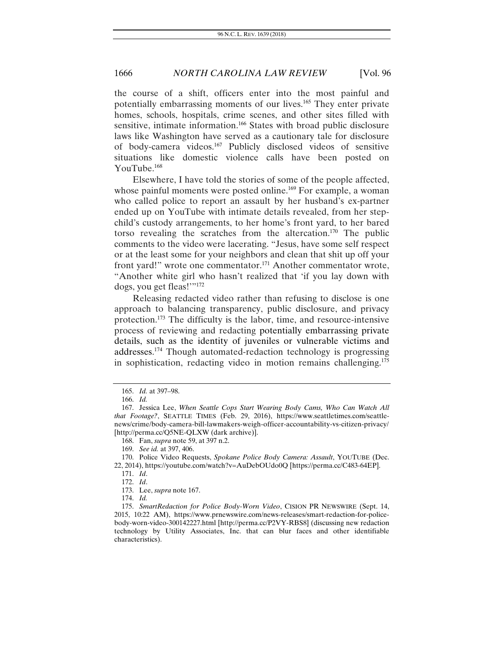the course of a shift, officers enter into the most painful and potentially embarrassing moments of our lives.165 They enter private homes, schools, hospitals, crime scenes, and other sites filled with sensitive, intimate information.<sup>166</sup> States with broad public disclosure laws like Washington have served as a cautionary tale for disclosure of body-camera videos.167 Publicly disclosed videos of sensitive situations like domestic violence calls have been posted on YouTube.168

Elsewhere, I have told the stories of some of the people affected, whose painful moments were posted online.<sup>169</sup> For example, a woman who called police to report an assault by her husband's ex-partner ended up on YouTube with intimate details revealed, from her stepchild's custody arrangements, to her home's front yard, to her bared torso revealing the scratches from the altercation.170 The public comments to the video were lacerating. "Jesus, have some self respect or at the least some for your neighbors and clean that shit up off your front yard!" wrote one commentator.171 Another commentator wrote, "Another white girl who hasn't realized that 'if you lay down with dogs, you get fleas!'"172

Releasing redacted video rather than refusing to disclose is one approach to balancing transparency, public disclosure, and privacy protection.173 The difficulty is the labor, time, and resource-intensive process of reviewing and redacting potentially embarrassing private details, such as the identity of juveniles or vulnerable victims and addresses. 174 Though automated-redaction technology is progressing in sophistication, redacting video in motion remains challenging.175

<sup>165.</sup> *Id.* at 397–98.

<sup>166.</sup> *Id.*

 <sup>167.</sup> Jessica Lee, *When Seattle Cops Start Wearing Body Cams, Who Can Watch All that Footage?*, SEATTLE TIMES (Feb. 29, 2016), https://www.seattletimes.com/seattlenews/crime/body-camera-bill-lawmakers-weigh-officer-accountability-vs-citizen-privacy/ [http://perma.cc/Q5NE-QLXW (dark archive)].

<sup>168.</sup> Fan, *supra* note 59, at 397 n.2.

 <sup>169.</sup> *See id.* at 397, 406.

 <sup>170.</sup> Police Video Requests, *Spokane Police Body Camera: Assault*, YOUTUBE (Dec. 22, 2014), https://youtube.com/watch?v=AuDebOUdo0Q [https://perma.cc/C483-64EP].

<sup>171.</sup> *Id*.

<sup>172.</sup> *Id*.

 <sup>173.</sup> Lee, *supra* note 167.

<sup>174.</sup> *Id.*

 <sup>175.</sup> *SmartRedaction for Police Body-Worn Video*, CISION PR NEWSWIRE (Sept. 14, 2015, 10:22 AM), https://www.prnewswire.com/news-releases/smart-redaction-for-policebody-worn-video-300142227.html [http://perma.cc/P2VY-RBS8] (discussing new redaction technology by Utility Associates, Inc. that can blur faces and other identifiable characteristics).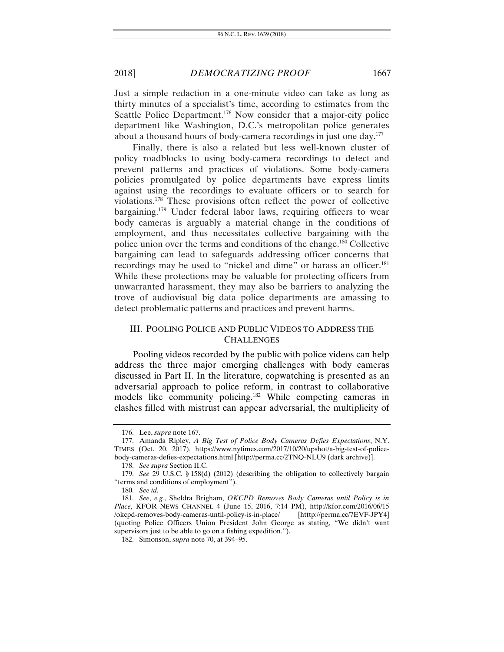Just a simple redaction in a one-minute video can take as long as thirty minutes of a specialist's time, according to estimates from the Seattle Police Department.<sup>176</sup> Now consider that a major-city police department like Washington, D.C.'s metropolitan police generates about a thousand hours of body-camera recordings in just one day.<sup>177</sup>

Finally, there is also a related but less well-known cluster of policy roadblocks to using body-camera recordings to detect and prevent patterns and practices of violations. Some body-camera policies promulgated by police departments have express limits against using the recordings to evaluate officers or to search for violations.178 These provisions often reflect the power of collective bargaining.179 Under federal labor laws, requiring officers to wear body cameras is arguably a material change in the conditions of employment, and thus necessitates collective bargaining with the police union over the terms and conditions of the change.180 Collective bargaining can lead to safeguards addressing officer concerns that recordings may be used to "nickel and dime" or harass an officer.<sup>181</sup> While these protections may be valuable for protecting officers from unwarranted harassment, they may also be barriers to analyzing the trove of audiovisual big data police departments are amassing to detect problematic patterns and practices and prevent harms.

# III. POOLING POLICE AND PUBLIC VIDEOS TO ADDRESS THE **CHALLENGES**

Pooling videos recorded by the public with police videos can help address the three major emerging challenges with body cameras discussed in Part II. In the literature, copwatching is presented as an adversarial approach to police reform, in contrast to collaborative models like community policing.<sup>182</sup> While competing cameras in clashes filled with mistrust can appear adversarial, the multiplicity of

 <sup>176.</sup> Lee, *supra* note 167.

 <sup>177.</sup> Amanda Ripley, *A Big Test of Police Body Cameras Defies Expectations*, N.Y. TIMES (Oct. 20, 2017), https://www.nytimes.com/2017/10/20/upshot/a-big-test-of-policebody-cameras-defies-expectations.html [http://perma.cc/2TNQ-NLU9 (dark archive)].

<sup>178.</sup> *See supra* Section II.C.

<sup>179.</sup> *See* 29 U.S.C. § 158(d) (2012) (describing the obligation to collectively bargain "terms and conditions of employment").

<sup>180.</sup> *See id.*

<sup>181.</sup> *See*, *e.g.*, Sheldra Brigham, *OKCPD Removes Body Cameras until Policy is in Place*, KFOR NEWS CHANNEL 4 (June 15, 2016, 7:14 PM), http://kfor.com/2016/06/15<br>/okcpd-removes-body-cameras-until-policy-is-in-place/ [htttp://perma.cc/7EVF-JPY4] /okcpd-removes-body-cameras-until-policy-is-in-place/ (quoting Police Officers Union President John George as stating, "We didn't want supervisors just to be able to go on a fishing expedition.").

 <sup>182.</sup> Simonson, *supra* note 70, at 394–95.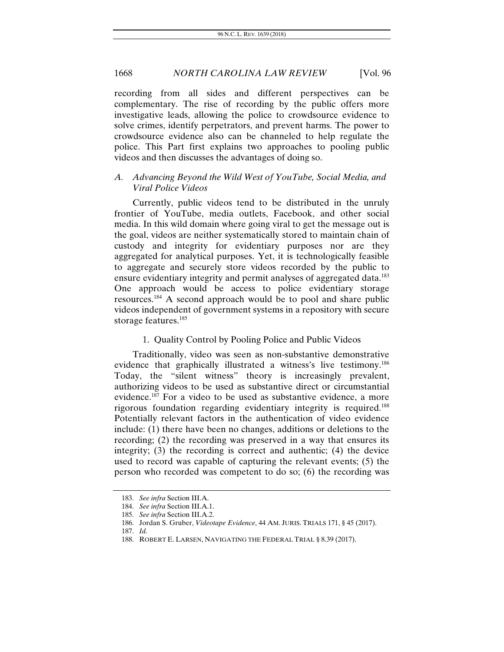recording from all sides and different perspectives can be complementary. The rise of recording by the public offers more investigative leads, allowing the police to crowdsource evidence to solve crimes, identify perpetrators, and prevent harms. The power to crowdsource evidence also can be channeled to help regulate the police. This Part first explains two approaches to pooling public videos and then discusses the advantages of doing so.

# *A. Advancing Beyond the Wild West of YouTube, Social Media, and Viral Police Videos*

Currently, public videos tend to be distributed in the unruly frontier of YouTube, media outlets, Facebook, and other social media. In this wild domain where going viral to get the message out is the goal, videos are neither systematically stored to maintain chain of custody and integrity for evidentiary purposes nor are they aggregated for analytical purposes. Yet, it is technologically feasible to aggregate and securely store videos recorded by the public to ensure evidentiary integrity and permit analyses of aggregated data.<sup>183</sup> One approach would be access to police evidentiary storage resources.184 A second approach would be to pool and share public videos independent of government systems in a repository with secure storage features.185

# 1. Quality Control by Pooling Police and Public Videos

Traditionally, video was seen as non-substantive demonstrative evidence that graphically illustrated a witness's live testimony.186 Today, the "silent witness" theory is increasingly prevalent, authorizing videos to be used as substantive direct or circumstantial evidence.187 For a video to be used as substantive evidence, a more rigorous foundation regarding evidentiary integrity is required.188 Potentially relevant factors in the authentication of video evidence include: (1) there have been no changes, additions or deletions to the recording; (2) the recording was preserved in a way that ensures its integrity; (3) the recording is correct and authentic; (4) the device used to record was capable of capturing the relevant events; (5) the person who recorded was competent to do so; (6) the recording was

<sup>183.</sup> *See infra* Section III.A.

<sup>184.</sup> *See infra* Section III.A.1.

<sup>185.</sup> *See infra* Section III.A.2.

 <sup>186.</sup> Jordan S. Gruber, *Videotape Evidence*, 44 AM. JURIS. TRIALS 171, § 45 (2017).

<sup>187.</sup> *Id.*

 <sup>188.</sup> ROBERT E. LARSEN, NAVIGATING THE FEDERAL TRIAL § 8.39 (2017).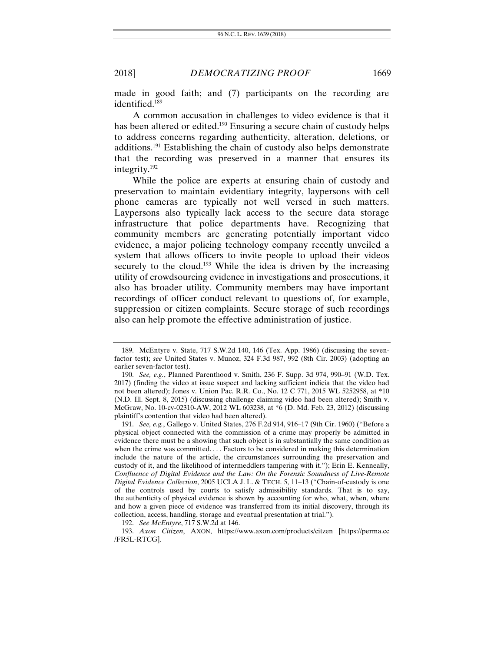made in good faith; and (7) participants on the recording are identified.<sup>189</sup>

A common accusation in challenges to video evidence is that it has been altered or edited.<sup>190</sup> Ensuring a secure chain of custody helps to address concerns regarding authenticity, alteration, deletions, or additions.191 Establishing the chain of custody also helps demonstrate that the recording was preserved in a manner that ensures its integrity.192

While the police are experts at ensuring chain of custody and preservation to maintain evidentiary integrity, laypersons with cell phone cameras are typically not well versed in such matters. Laypersons also typically lack access to the secure data storage infrastructure that police departments have. Recognizing that community members are generating potentially important video evidence, a major policing technology company recently unveiled a system that allows officers to invite people to upload their videos securely to the cloud.<sup>193</sup> While the idea is driven by the increasing utility of crowdsourcing evidence in investigations and prosecutions, it also has broader utility. Community members may have important recordings of officer conduct relevant to questions of, for example, suppression or citizen complaints. Secure storage of such recordings also can help promote the effective administration of justice.

192. *See McEntyre*, 717 S.W.2d at 146.

 <sup>189.</sup> McEntyre v. State, 717 S.W.2d 140, 146 (Tex. App. 1986) (discussing the sevenfactor test); *see* United States v. Munoz, 324 F.3d 987, 992 (8th Cir. 2003) (adopting an earlier seven-factor test).

<sup>190.</sup> *See, e.g.*, Planned Parenthood v. Smith, 236 F. Supp. 3d 974, 990–91 (W.D. Tex. 2017) (finding the video at issue suspect and lacking sufficient indicia that the video had not been altered); Jones v. Union Pac. R.R. Co., No. 12 C 771, 2015 WL 5252958, at \*10 (N.D. Ill. Sept. 8, 2015) (discussing challenge claiming video had been altered); Smith v. McGraw, No. 10-cv-02310-AW, 2012 WL 603238, at \*6 (D. Md. Feb. 23, 2012) (discussing plaintiff's contention that video had been altered).

<sup>191.</sup> *See, e.g.*, Gallego v. United States, 276 F.2d 914, 916–17 (9th Cir. 1960) ("Before a physical object connected with the commission of a crime may properly be admitted in evidence there must be a showing that such object is in substantially the same condition as when the crime was committed. . . . Factors to be considered in making this determination include the nature of the article, the circumstances surrounding the preservation and custody of it, and the likelihood of intermeddlers tampering with it."); Erin E. Kenneally, *Confluence of Digital Evidence and the Law: On the Forensic Soundness of Live-Remote Digital Evidence Collection*, 2005 UCLA J. L. & TECH. 5, 11–13 ("Chain-of-custody is one of the controls used by courts to satisfy admissibility standards. That is to say, the authenticity of physical evidence is shown by accounting for who, what, when, where and how a given piece of evidence was transferred from its initial discovery, through its collection, access, handling, storage and eventual presentation at trial.").

 <sup>193.</sup> *Axon Citizen*, AXON, https://www.axon.com/products/citzen [https://perma.cc /FR5L-RTCG].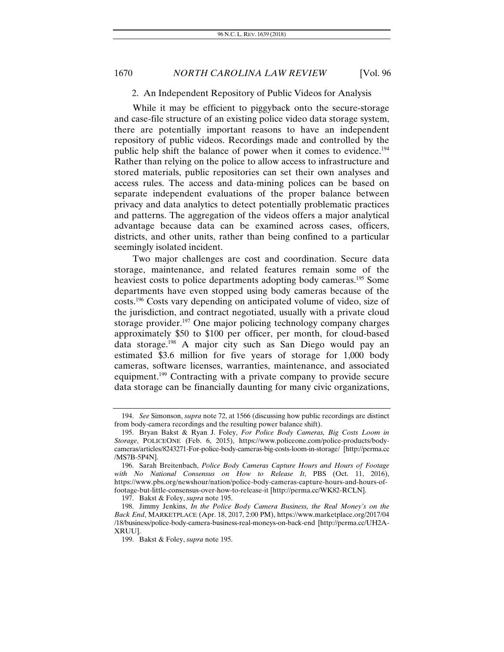#### 2. An Independent Repository of Public Videos for Analysis

While it may be efficient to piggyback onto the secure-storage and case-file structure of an existing police video data storage system, there are potentially important reasons to have an independent repository of public videos. Recordings made and controlled by the public help shift the balance of power when it comes to evidence.<sup>194</sup> Rather than relying on the police to allow access to infrastructure and stored materials, public repositories can set their own analyses and access rules. The access and data-mining polices can be based on separate independent evaluations of the proper balance between privacy and data analytics to detect potentially problematic practices and patterns. The aggregation of the videos offers a major analytical advantage because data can be examined across cases, officers, districts, and other units, rather than being confined to a particular seemingly isolated incident.

Two major challenges are cost and coordination. Secure data storage, maintenance, and related features remain some of the heaviest costs to police departments adopting body cameras.<sup>195</sup> Some departments have even stopped using body cameras because of the costs.196 Costs vary depending on anticipated volume of video, size of the jurisdiction, and contract negotiated, usually with a private cloud storage provider.<sup>197</sup> One major policing technology company charges approximately \$50 to \$100 per officer, per month, for cloud-based data storage.198 A major city such as San Diego would pay an estimated \$3.6 million for five years of storage for 1,000 body cameras, software licenses, warranties, maintenance, and associated equipment.199 Contracting with a private company to provide secure data storage can be financially daunting for many civic organizations,

<sup>194.</sup> *See* Simonson, *supra* note 72, at 1566 (discussing how public recordings are distinct from body-camera recordings and the resulting power balance shift).

 <sup>195.</sup> Bryan Bakst & Ryan J. Foley, *For Police Body Cameras, Big Costs Loom in Storage*, POLICEONE (Feb. 6, 2015), https://www.policeone.com/police-products/bodycameras/articles/8243271-For-police-body-cameras-big-costs-loom-in-storage/ [http://perma.cc /MS7B-5P4N].

 <sup>196.</sup> Sarah Breitenbach, *Police Body Cameras Capture Hours and Hours of Footage with No National Consensus on How to Release It*, PBS (Oct. 11, 2016), https://www.pbs.org/newshour/nation/police-body-cameras-capture-hours-and-hours-offootage-but-little-consensus-over-how-to-release-it [http://perma.cc/WK82-RCLN].

 <sup>197.</sup> Bakst & Foley, *supra* note 195.

 <sup>198.</sup> Jimmy Jenkins, *In the Police Body Camera Business, the Real Money's on the Back End*, MARKETPLACE (Apr. 18, 2017, 2:00 PM), https://www.marketplace.org/2017/04 /18/business/police-body-camera-business-real-moneys-on-back-end [http://perma.cc/UH2A-XRUU].

 <sup>199.</sup> Bakst & Foley, *supra* note 195.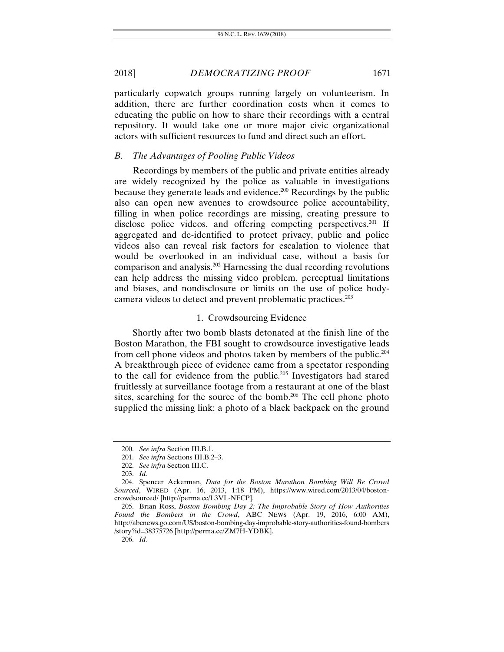particularly copwatch groups running largely on volunteerism. In addition, there are further coordination costs when it comes to educating the public on how to share their recordings with a central repository. It would take one or more major civic organizational actors with sufficient resources to fund and direct such an effort.

#### *B. The Advantages of Pooling Public Videos*

Recordings by members of the public and private entities already are widely recognized by the police as valuable in investigations because they generate leads and evidence.200 Recordings by the public also can open new avenues to crowdsource police accountability, filling in when police recordings are missing, creating pressure to disclose police videos, and offering competing perspectives.<sup>201</sup> If aggregated and de-identified to protect privacy, public and police videos also can reveal risk factors for escalation to violence that would be overlooked in an individual case, without a basis for comparison and analysis.202 Harnessing the dual recording revolutions can help address the missing video problem, perceptual limitations and biases, and nondisclosure or limits on the use of police bodycamera videos to detect and prevent problematic practices.203

#### 1. Crowdsourcing Evidence

Shortly after two bomb blasts detonated at the finish line of the Boston Marathon, the FBI sought to crowdsource investigative leads from cell phone videos and photos taken by members of the public.204 A breakthrough piece of evidence came from a spectator responding to the call for evidence from the public.<sup>205</sup> Investigators had stared fruitlessly at surveillance footage from a restaurant at one of the blast sites, searching for the source of the bomb.<sup>206</sup> The cell phone photo supplied the missing link: a photo of a black backpack on the ground

206. *Id.*

<sup>200.</sup> *See infra* Section III.B.1.

<sup>201.</sup> *See infra* Sections III.B.2–3.

<sup>202.</sup> *See infra* Section III.C.

<sup>203.</sup> *Id.*

 <sup>204.</sup> Spencer Ackerman, *Data for the Boston Marathon Bombing Will Be Crowd Sourced*, WIRED (Apr. 16, 2013, 1:18 PM), https://www.wired.com/2013/04/bostoncrowdsourced/ [http://perma.cc/L3VL-NFCP].

 <sup>205.</sup> Brian Ross, *Boston Bombing Day 2: The Improbable Story of How Authorities Found the Bombers in the Crowd*, ABC NEWS (Apr. 19, 2016, 6:00 AM), http://abcnews.go.com/US/boston-bombing-day-improbable-story-authorities-found-bombers /story?id=38375726 [http://perma.cc/ZM7H-YDBK].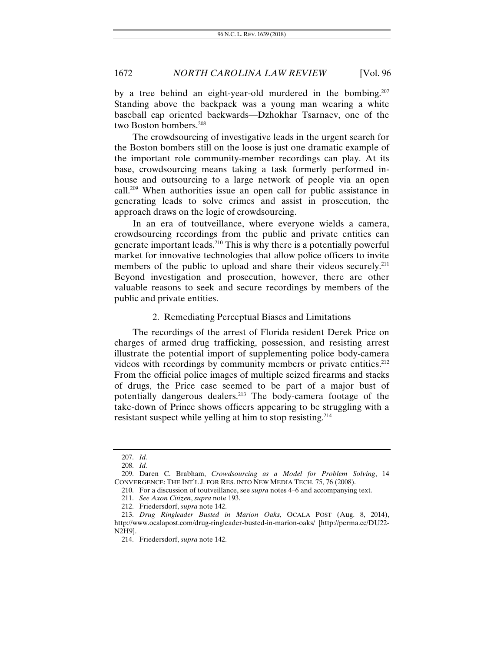by a tree behind an eight-year-old murdered in the bombing.<sup>207</sup> Standing above the backpack was a young man wearing a white baseball cap oriented backwards—Dzhokhar Tsarnaev, one of the two Boston bombers.208

The crowdsourcing of investigative leads in the urgent search for the Boston bombers still on the loose is just one dramatic example of the important role community-member recordings can play. At its base, crowdsourcing means taking a task formerly performed inhouse and outsourcing to a large network of people via an open call.209 When authorities issue an open call for public assistance in generating leads to solve crimes and assist in prosecution, the approach draws on the logic of crowdsourcing.

In an era of toutveillance, where everyone wields a camera, crowdsourcing recordings from the public and private entities can generate important leads.210 This is why there is a potentially powerful market for innovative technologies that allow police officers to invite members of the public to upload and share their videos securely.<sup>211</sup> Beyond investigation and prosecution, however, there are other valuable reasons to seek and secure recordings by members of the public and private entities.

#### 2. Remediating Perceptual Biases and Limitations

The recordings of the arrest of Florida resident Derek Price on charges of armed drug trafficking, possession, and resisting arrest illustrate the potential import of supplementing police body-camera videos with recordings by community members or private entities.<sup>212</sup> From the official police images of multiple seized firearms and stacks of drugs, the Price case seemed to be part of a major bust of potentially dangerous dealers.213 The body-camera footage of the take-down of Prince shows officers appearing to be struggling with a resistant suspect while yelling at him to stop resisting.214

<sup>207.</sup> *Id.*

<sup>208.</sup> *Id.*

 <sup>209.</sup> Daren C. Brabham, *Crowdsourcing as a Model for Problem Solving*, 14 CONVERGENCE: THE INT'L J. FOR RES. INTO NEW MEDIA TECH. 75, 76 (2008).

 <sup>210.</sup> For a discussion of toutveillance, see *supra* notes 4–6 and accompanying text.

<sup>211.</sup> *See Axon Citizen*, *supra* note 193.

 <sup>212.</sup> Friedersdorf, *supra* note 142.

<sup>213.</sup> *Drug Ringleader Busted in Marion Oaks*, OCALA POST (Aug. 8, 2014), http://www.ocalapost.com/drug-ringleader-busted-in-marion-oaks/ [http://perma.cc/DU22- N2H9].

 <sup>214.</sup> Friedersdorf, *supra* note 142.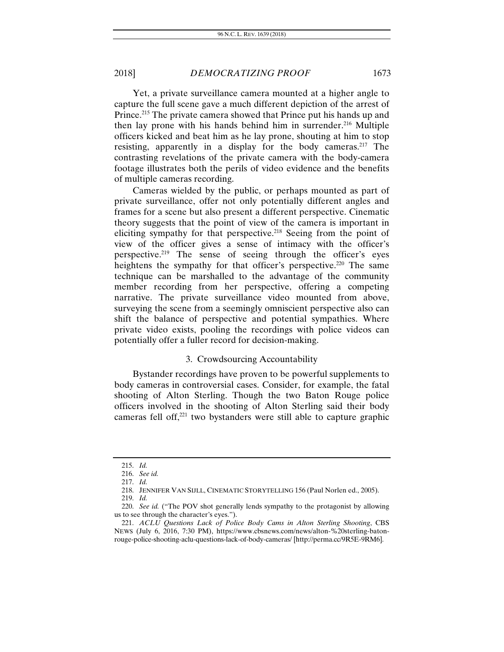Yet, a private surveillance camera mounted at a higher angle to capture the full scene gave a much different depiction of the arrest of Prince.<sup>215</sup> The private camera showed that Prince put his hands up and then lay prone with his hands behind him in surrender.<sup>216</sup> Multiple officers kicked and beat him as he lay prone, shouting at him to stop resisting, apparently in a display for the body cameras.<sup>217</sup> The contrasting revelations of the private camera with the body-camera footage illustrates both the perils of video evidence and the benefits of multiple cameras recording.

Cameras wielded by the public, or perhaps mounted as part of private surveillance, offer not only potentially different angles and frames for a scene but also present a different perspective. Cinematic theory suggests that the point of view of the camera is important in eliciting sympathy for that perspective.<sup>218</sup> Seeing from the point of view of the officer gives a sense of intimacy with the officer's perspective.219 The sense of seeing through the officer's eyes heightens the sympathy for that officer's perspective.<sup>220</sup> The same technique can be marshalled to the advantage of the community member recording from her perspective, offering a competing narrative. The private surveillance video mounted from above, surveying the scene from a seemingly omniscient perspective also can shift the balance of perspective and potential sympathies. Where private video exists, pooling the recordings with police videos can potentially offer a fuller record for decision-making.

# 3. Crowdsourcing Accountability

Bystander recordings have proven to be powerful supplements to body cameras in controversial cases. Consider, for example, the fatal shooting of Alton Sterling. Though the two Baton Rouge police officers involved in the shooting of Alton Sterling said their body cameras fell off,221 two bystanders were still able to capture graphic

<sup>215.</sup> *Id.*

<sup>216.</sup> *See id.*

<sup>217.</sup> *Id.*

 <sup>218.</sup> JENNIFER VAN SIJLL, CINEMATIC STORYTELLING 156 (Paul Norlen ed., 2005).

<sup>219.</sup> *Id.*

<sup>220.</sup> *See id.* ("The POV shot generally lends sympathy to the protagonist by allowing us to see through the character's eyes.").

<sup>221.</sup> *ACLU Questions Lack of Police Body Cams in Alton Sterling Shooting*, CBS NEWS (July 6, 2016, 7:30 PM), https://www.cbsnews.com/news/alton-%20sterling-batonrouge-police-shooting-aclu-questions-lack-of-body-cameras/ [http://perma.cc/9R5E-9RM6].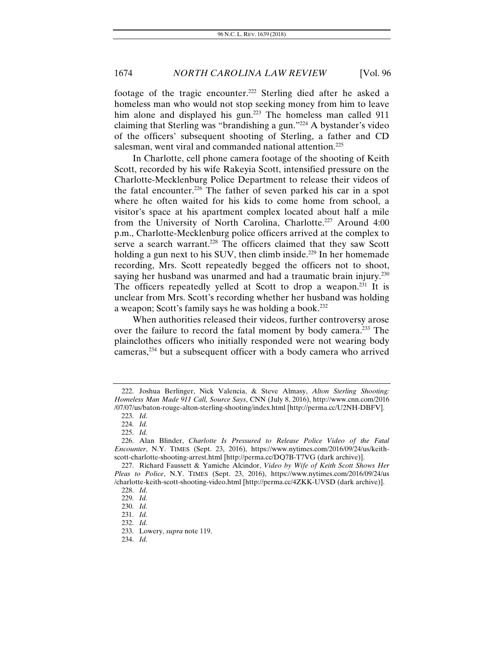footage of the tragic encounter.<sup>222</sup> Sterling died after he asked a homeless man who would not stop seeking money from him to leave him alone and displayed his gun.<sup>223</sup> The homeless man called 911 claiming that Sterling was "brandishing a gun."224 A bystander's video of the officers' subsequent shooting of Sterling, a father and CD salesman, went viral and commanded national attention.<sup>225</sup>

In Charlotte, cell phone camera footage of the shooting of Keith Scott, recorded by his wife Rakeyia Scott, intensified pressure on the Charlotte-Mecklenburg Police Department to release their videos of the fatal encounter.226 The father of seven parked his car in a spot where he often waited for his kids to come home from school, a visitor's space at his apartment complex located about half a mile from the University of North Carolina, Charlotte.<sup>227</sup> Around 4:00 p.m., Charlotte-Mecklenburg police officers arrived at the complex to serve a search warrant.<sup>228</sup> The officers claimed that they saw Scott holding a gun next to his SUV, then climb inside.<sup>229</sup> In her homemade recording, Mrs. Scott repeatedly begged the officers not to shoot, saying her husband was unarmed and had a traumatic brain injury.<sup>230</sup> The officers repeatedly yelled at Scott to drop a weapon.<sup>231</sup> It is unclear from Mrs. Scott's recording whether her husband was holding a weapon; Scott's family says he was holding a book.232

When authorities released their videos, further controversy arose over the failure to record the fatal moment by body camera.233 The plainclothes officers who initially responded were not wearing body cameras,<sup>234</sup> but a subsequent officer with a body camera who arrived

 <sup>222.</sup> Joshua Berlinger, Nick Valencia, & Steve Almasy, *Alton Sterling Shooting: Homeless Man Made 911 Call, Source Says*, CNN (July 8, 2016), http://www.cnn.com/2016 /07/07/us/baton-rouge-alton-sterling-shooting/index.html [http://perma.cc/U2NH-DBFV].

<sup>223.</sup> *Id.*

<sup>224.</sup> *Id.*

<sup>225.</sup> *Id.*

 <sup>226.</sup> Alan Blinder, *Charlotte Is Pressured to Release Police Video of the Fatal Encounter*, N.Y. TIMES (Sept. 23, 2016), https://www.nytimes.com/2016/09/24/us/keithscott-charlotte-shooting-arrest.html [http://perma.cc/DQ7B-T7VG (dark archive)].

 <sup>227.</sup> Richard Faussett & Yamiche Alcindor, *Video by Wife of Keith Scott Shows Her Pleas to Police*, N.Y. TIMES (Sept. 23, 2016), https://www.nytimes.com/2016/09/24/us /charlotte-keith-scott-shooting-video.html [http://perma.cc/4ZKK-UVSD (dark archive)].

<sup>228.</sup> *Id.*

<sup>229.</sup> *Id.*

<sup>230.</sup> *Id.*

<sup>231.</sup> *Id.*

<sup>232.</sup> *Id.* 

 <sup>233.</sup> Lowery, *supra* note 119.

<sup>234.</sup> *Id.*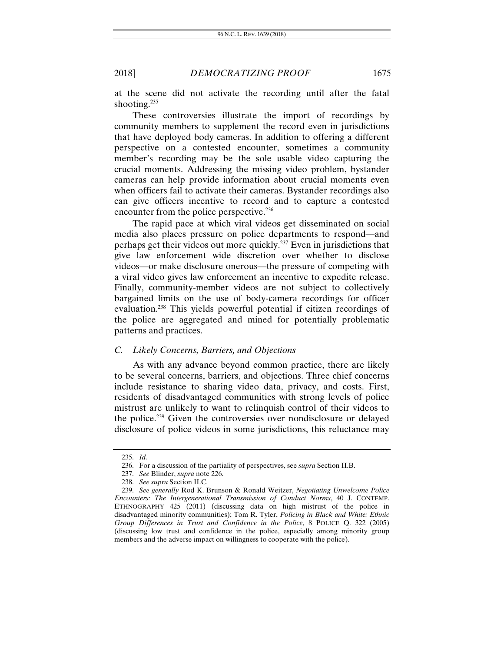at the scene did not activate the recording until after the fatal shooting.<sup>235</sup>

These controversies illustrate the import of recordings by community members to supplement the record even in jurisdictions that have deployed body cameras. In addition to offering a different perspective on a contested encounter, sometimes a community member's recording may be the sole usable video capturing the crucial moments. Addressing the missing video problem, bystander cameras can help provide information about crucial moments even when officers fail to activate their cameras. Bystander recordings also can give officers incentive to record and to capture a contested encounter from the police perspective.<sup>236</sup>

The rapid pace at which viral videos get disseminated on social media also places pressure on police departments to respond—and perhaps get their videos out more quickly.237 Even in jurisdictions that give law enforcement wide discretion over whether to disclose videos—or make disclosure onerous—the pressure of competing with a viral video gives law enforcement an incentive to expedite release. Finally, community-member videos are not subject to collectively bargained limits on the use of body-camera recordings for officer evaluation.238 This yields powerful potential if citizen recordings of the police are aggregated and mined for potentially problematic patterns and practices.

#### *C. Likely Concerns, Barriers, and Objections*

As with any advance beyond common practice, there are likely to be several concerns, barriers, and objections. Three chief concerns include resistance to sharing video data, privacy, and costs. First, residents of disadvantaged communities with strong levels of police mistrust are unlikely to want to relinquish control of their videos to the police.239 Given the controversies over nondisclosure or delayed disclosure of police videos in some jurisdictions, this reluctance may

<sup>235.</sup> *Id.*

 <sup>236.</sup> For a discussion of the partiality of perspectives, see *supra* Section II.B.

<sup>237.</sup> *See* Blinder, *supra* note 226.

<sup>238.</sup> *See supra* Section II.C.

<sup>239.</sup> *See generally* Rod K. Brunson & Ronald Weitzer, *Negotiating Unwelcome Police Encounters: The Intergenerational Transmission of Conduct Norms*, 40 J. CONTEMP. ETHNOGRAPHY 425 (2011) (discussing data on high mistrust of the police in disadvantaged minority communities); Tom R. Tyler, *Policing in Black and White: Ethnic Group Differences in Trust and Confidence in the Police*, 8 POLICE Q. 322 (2005) (discussing low trust and confidence in the police, especially among minority group members and the adverse impact on willingness to cooperate with the police).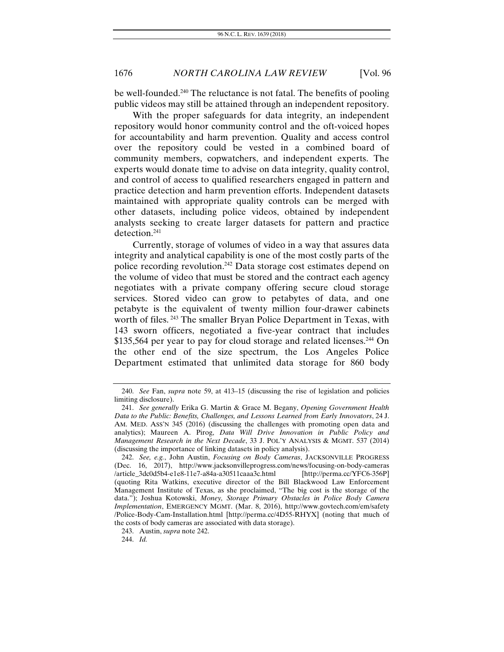be well-founded.240 The reluctance is not fatal. The benefits of pooling public videos may still be attained through an independent repository.

With the proper safeguards for data integrity, an independent repository would honor community control and the oft-voiced hopes for accountability and harm prevention. Quality and access control over the repository could be vested in a combined board of community members, copwatchers, and independent experts. The experts would donate time to advise on data integrity, quality control, and control of access to qualified researchers engaged in pattern and practice detection and harm prevention efforts. Independent datasets maintained with appropriate quality controls can be merged with other datasets, including police videos, obtained by independent analysts seeking to create larger datasets for pattern and practice detection.241

Currently, storage of volumes of video in a way that assures data integrity and analytical capability is one of the most costly parts of the police recording revolution.<sup>242</sup> Data storage cost estimates depend on the volume of video that must be stored and the contract each agency negotiates with a private company offering secure cloud storage services. Stored video can grow to petabytes of data, and one petabyte is the equivalent of twenty million four-drawer cabinets worth of files.<sup>243</sup> The smaller Bryan Police Department in Texas, with 143 sworn officers, negotiated a five-year contract that includes  $$135,564$  per year to pay for cloud storage and related licenses.<sup>244</sup> On the other end of the size spectrum, the Los Angeles Police Department estimated that unlimited data storage for 860 body

<sup>240.</sup> *See* Fan, *supra* note 59, at 413–15 (discussing the rise of legislation and policies limiting disclosure).

<sup>241.</sup> *See generally* Erika G. Martin & Grace M. Begany, *Opening Government Health Data to the Public: Benefits, Challenges, and Lessons Learned from Early Innovators*, 24 J. AM. MED. ASS'N 345 (2016) (discussing the challenges with promoting open data and analytics); Maureen A. Pirog, *Data Will Drive Innovation in Public Policy and Management Research in the Next Decade*, 33 J. POL'Y ANALYSIS & MGMT. 537 (2014) (discussing the importance of linking datasets in policy analysis).

<sup>242.</sup> *See, e.g.*, John Austin, *Focusing on Body Cameras*, JACKSONVILLE PROGRESS (Dec. 16, 2017), http://www.jacksonvilleprogress.com/news/focusing-on-body-cameras /article\_3dc0d5b4-e1e8-11e7-a84a-a30511caaa3c.html [http://perma.cc/YFC6-356P] (quoting Rita Watkins, executive director of the Bill Blackwood Law Enforcement Management Institute of Texas, as she proclaimed, "The big cost is the storage of the data."); Joshua Kotowski, *Money, Storage Primary Obstacles in Police Body Camera Implementation*, EMERGENCY MGMT. (Mar. 8, 2016), http://www.govtech.com/em/safety /Police-Body-Cam-Installation.html [http://perma.cc/4D55-RHYX] (noting that much of the costs of body cameras are associated with data storage).

 <sup>243.</sup> Austin, *supra* note 242.

<sup>244.</sup> *Id.*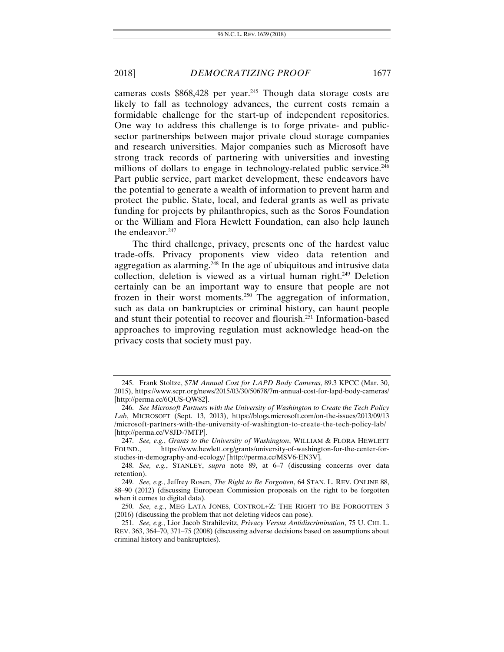cameras costs  $$868,428$  per year.<sup>245</sup> Though data storage costs are likely to fall as technology advances, the current costs remain a formidable challenge for the start-up of independent repositories. One way to address this challenge is to forge private- and publicsector partnerships between major private cloud storage companies and research universities. Major companies such as Microsoft have strong track records of partnering with universities and investing millions of dollars to engage in technology-related public service.<sup>246</sup> Part public service, part market development, these endeavors have the potential to generate a wealth of information to prevent harm and protect the public. State, local, and federal grants as well as private funding for projects by philanthropies, such as the Soros Foundation or the William and Flora Hewlett Foundation, can also help launch the endeavor. $247$ 

The third challenge, privacy, presents one of the hardest value trade-offs. Privacy proponents view video data retention and aggregation as alarming.<sup>248</sup> In the age of ubiquitous and intrusive data collection, deletion is viewed as a virtual human right.<sup>249</sup> Deletion certainly can be an important way to ensure that people are not frozen in their worst moments.250 The aggregation of information, such as data on bankruptcies or criminal history, can haunt people and stunt their potential to recover and flourish.251 Information-based approaches to improving regulation must acknowledge head-on the privacy costs that society must pay.

 <sup>245.</sup> Frank Stoltze, *\$7M Annual Cost for LAPD Body Cameras*, 89.3 KPCC (Mar. 30, 2015), https://www.scpr.org/news/2015/03/30/50678/7m-annual-cost-for-lapd-body-cameras/ [http://perma.cc/6QUS-QW82].

<sup>246.</sup> *See Microsoft Partners with the University of Washington to Create the Tech Policy Lab*, MICROSOFT (Sept. 13, 2013), https://blogs.microsoft.com/on-the-issues/2013/09/13 /microsoft-partners-with-the-university-of-washington-to-create-the-tech-policy-lab/ [http://perma.cc/V8JD-7MTP].

<sup>247.</sup> *See, e.g.*, *Grants to the University of Washington*, WILLIAM & FLORA HEWLETT FOUND., https://www.hewlett.org/grants/university-of-washington-for-the-center-forstudies-in-demography-and-ecology/ [http://perma.cc/MSV6-EN3V].

<sup>248.</sup> *See, e.g.*, STANLEY, *supra* note 89, at 6–7 (discussing concerns over data retention).

<sup>249.</sup> *See, e.g.*, Jeffrey Rosen, *The Right to Be Forgotten*, 64 STAN. L. REV. ONLINE 88, 88–90 (2012) (discussing European Commission proposals on the right to be forgotten when it comes to digital data).

<sup>250.</sup> *See, e.g.*, MEG LATA JONES, CONTROL+Z: THE RIGHT TO BE FORGOTTEN 3 (2016) (discussing the problem that not deleting videos can pose).

<sup>251.</sup> *See, e.g.*, Lior Jacob Strahilevitz, *Privacy Versus Antidiscrimination*, 75 U. CHI. L. REV. 363, 364–70, 371–75 (2008) (discussing adverse decisions based on assumptions about criminal history and bankruptcies).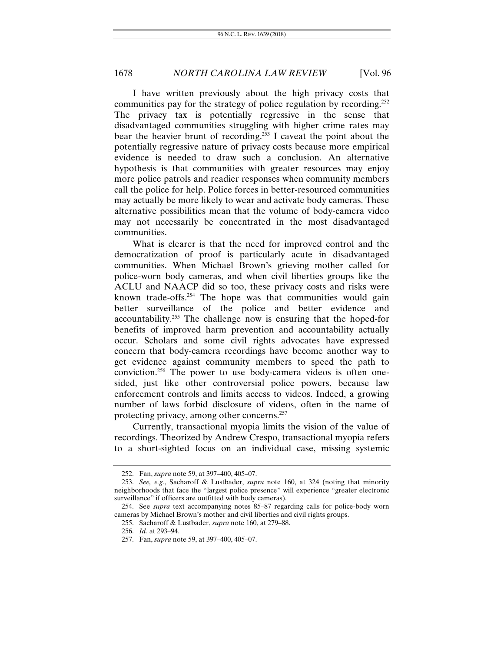I have written previously about the high privacy costs that communities pay for the strategy of police regulation by recording.<sup>252</sup> The privacy tax is potentially regressive in the sense that disadvantaged communities struggling with higher crime rates may bear the heavier brunt of recording.<sup>253</sup> I caveat the point about the potentially regressive nature of privacy costs because more empirical evidence is needed to draw such a conclusion. An alternative hypothesis is that communities with greater resources may enjoy more police patrols and readier responses when community members call the police for help. Police forces in better-resourced communities may actually be more likely to wear and activate body cameras. These alternative possibilities mean that the volume of body-camera video may not necessarily be concentrated in the most disadvantaged communities.

What is clearer is that the need for improved control and the democratization of proof is particularly acute in disadvantaged communities. When Michael Brown's grieving mother called for police-worn body cameras, and when civil liberties groups like the ACLU and NAACP did so too, these privacy costs and risks were known trade-offs. $254$  The hope was that communities would gain better surveillance of the police and better evidence and accountability.255 The challenge now is ensuring that the hoped-for benefits of improved harm prevention and accountability actually occur. Scholars and some civil rights advocates have expressed concern that body-camera recordings have become another way to get evidence against community members to speed the path to conviction.256 The power to use body-camera videos is often onesided, just like other controversial police powers, because law enforcement controls and limits access to videos. Indeed, a growing number of laws forbid disclosure of videos, often in the name of protecting privacy, among other concerns.257

Currently, transactional myopia limits the vision of the value of recordings. Theorized by Andrew Crespo, transactional myopia refers to a short-sighted focus on an individual case, missing systemic

 <sup>252.</sup> Fan, *supra* note 59, at 397–400, 405–07.

<sup>253.</sup> *See, e.g.*, Sacharoff & Lustbader, *supra* note 160, at 324 (noting that minority neighborhoods that face the "largest police presence" will experience "greater electronic surveillance" if officers are outfitted with body cameras).

<sup>254.</sup> See *supra* text accompanying notes 85–87 regarding calls for police-body worn cameras by Michael Brown's mother and civil liberties and civil rights groups.

 <sup>255.</sup> Sacharoff & Lustbader, *supra* note 160, at 279–88.

<sup>256.</sup> *Id.* at 293–94.

 <sup>257.</sup> Fan, *supra* note 59, at 397–400, 405–07.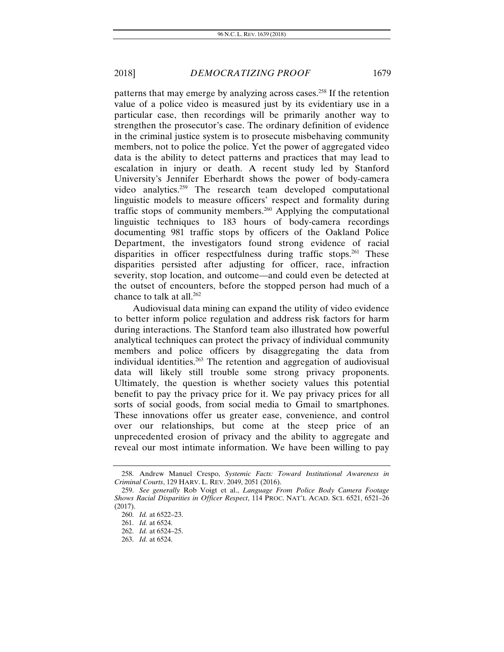patterns that may emerge by analyzing across cases.258 If the retention value of a police video is measured just by its evidentiary use in a particular case, then recordings will be primarily another way to strengthen the prosecutor's case. The ordinary definition of evidence in the criminal justice system is to prosecute misbehaving community members, not to police the police. Yet the power of aggregated video data is the ability to detect patterns and practices that may lead to escalation in injury or death. A recent study led by Stanford University's Jennifer Eberhardt shows the power of body-camera video analytics.259 The research team developed computational linguistic models to measure officers' respect and formality during traffic stops of community members.260 Applying the computational linguistic techniques to 183 hours of body-camera recordings documenting 981 traffic stops by officers of the Oakland Police Department, the investigators found strong evidence of racial disparities in officer respectfulness during traffic stops.<sup>261</sup> These disparities persisted after adjusting for officer, race, infraction severity, stop location, and outcome—and could even be detected at the outset of encounters, before the stopped person had much of a chance to talk at all.<sup>262</sup>

Audiovisual data mining can expand the utility of video evidence to better inform police regulation and address risk factors for harm during interactions. The Stanford team also illustrated how powerful analytical techniques can protect the privacy of individual community members and police officers by disaggregating the data from individual identities.263 The retention and aggregation of audiovisual data will likely still trouble some strong privacy proponents. Ultimately, the question is whether society values this potential benefit to pay the privacy price for it. We pay privacy prices for all sorts of social goods, from social media to Gmail to smartphones. These innovations offer us greater ease, convenience, and control over our relationships, but come at the steep price of an unprecedented erosion of privacy and the ability to aggregate and reveal our most intimate information. We have been willing to pay

 <sup>258.</sup> Andrew Manuel Crespo, *Systemic Facts: Toward Institutional Awareness in Criminal Courts*, 129 HARV. L. REV. 2049, 2051 (2016).

<sup>259.</sup> *See generally* Rob Voigt et al., *Language From Police Body Camera Footage Shows Racial Disparities in Officer Respect*, 114 PROC. NAT'L ACAD. SCI. 6521, 6521–26 (2017).

<sup>260.</sup> *Id.* at 6522–23.

<sup>261.</sup> *Id.* at 6524.

<sup>262.</sup> *Id.* at 6524–25.

<sup>263.</sup> *Id.* at 6524.